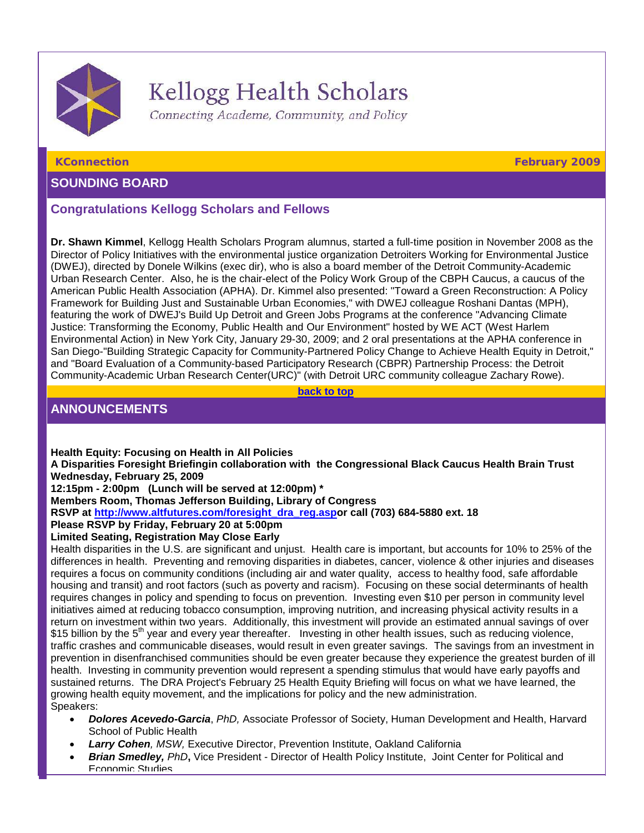

# Kellogg Health Scholars

Connecting Academe, Community, and Policy

<span id="page-0-0"></span>

# **SOUNDING BOARD**

# **Congratulations Kellogg Scholars and Fellows**

**Dr. Shawn Kimmel**, Kellogg Health Scholars Program alumnus, started a full-time position in November 2008 as the Director of Policy Initiatives with the environmental justice organization Detroiters Working for Environmental Justice (DWEJ), directed by Donele Wilkins (exec dir), who is also a board member of the Detroit Community-Academic Urban Research Center. Also, he is the chair-elect of the Policy Work Group of the CBPH Caucus, a caucus of the American Public Health Association (APHA). Dr. Kimmel also presented: "Toward a Green Reconstruction: A Policy Framework for Building Just and Sustainable Urban Economies," with DWEJ colleague Roshani Dantas (MPH), featuring the work of DWEJ's Build Up Detroit and Green Jobs Programs at the conference "Advancing Climate Justice: Transforming the Economy, Public Health and Our Environment" hosted by WE ACT (West Harlem Environmental Action) in New York City, January 29-30, 2009; and 2 oral presentations at the APHA conference in San Diego-"Building Strategic Capacity for Community-Partnered Policy Change to Achieve Health Equity in Detroit," and "Board Evaluation of a Community-based Participatory Research (CBPR) Partnership Process: the Detroit Community-Academic Urban Research Center(URC)" (with Detroit URC community colleague Zachary Rowe).

**[back to top](#page-0-0)**

# **ANNOUNCEMENTS**

**Health Equity: Focusing on Health in All Policies A Disparities Foresight Briefingin collaboration with the Congressional Black Caucus Health Brain Trust Wednesday, February 25, 2009 12:15pm - 2:00pm (Lunch will be served at 12:00pm) \*** 

**Members Room, Thomas Jefferson Building, Library of Congress**

**RSVP at [http://www.altfutures.com/foresight\\_dra\\_reg.aspo](http://rs6.net/tn.jsp?et=1102456760593&e=001atQw5QrTyANMSOOHa6KmkOJm3uTjg0HlPB17xsSRwLP0TyRPHxdhCIVu-rrlycte4j4n7zoma_si8rl-9nKmQiYsl0Bbayzir8tGjSBQ3tNHPRaAUWKIf1-pnjiQkKvD5jID5tyIeb0=)r call (703) 684-5880 ext. 18**

**Please RSVP by Friday, February 20 at 5:00pm**

# **Limited Seating, Registration May Close Early**

Health disparities in the U.S. are significant and unjust. Health care is important, but accounts for 10% to 25% of the differences in health. Preventing and removing disparities in diabetes, cancer, violence & other injuries and diseases requires a focus on community conditions (including air and water quality, access to healthy food, safe affordable housing and transit) and root factors (such as poverty and racism). Focusing on these social determinants of health requires changes in policy and spending to focus on prevention. Investing even \$10 per person in community level initiatives aimed at reducing tobacco consumption, improving nutrition, and increasing physical activity results in a return on investment within two years. Additionally, this investment will provide an estimated annual savings of over \$15 billion by the  $5<sup>th</sup>$  year and every year thereafter. Investing in other health issues, such as reducing violence, traffic crashes and communicable diseases, would result in even greater savings. The savings from an investment in prevention in disenfranchised communities should be even greater because they experience the greatest burden of ill health. Investing in community prevention would represent a spending stimulus that would have early payoffs and sustained returns. The DRA Project's February 25 Health Equity Briefing will focus on what we have learned, the growing health equity movement, and the implications for policy and the new administration. Speakers:

- *Dolores Acevedo-Garcia*, *PhD,* Associate Professor of Society, Human Development and Health, Harvard School of Public Health
- *Larry Cohen, MSW,* Executive Director, Prevention Institute, Oakland California
- *Brian Smedley, PhD***,** Vice President Director of Health Policy Institute, Joint Center for Political and Economic Studies

**KConnection February 2009**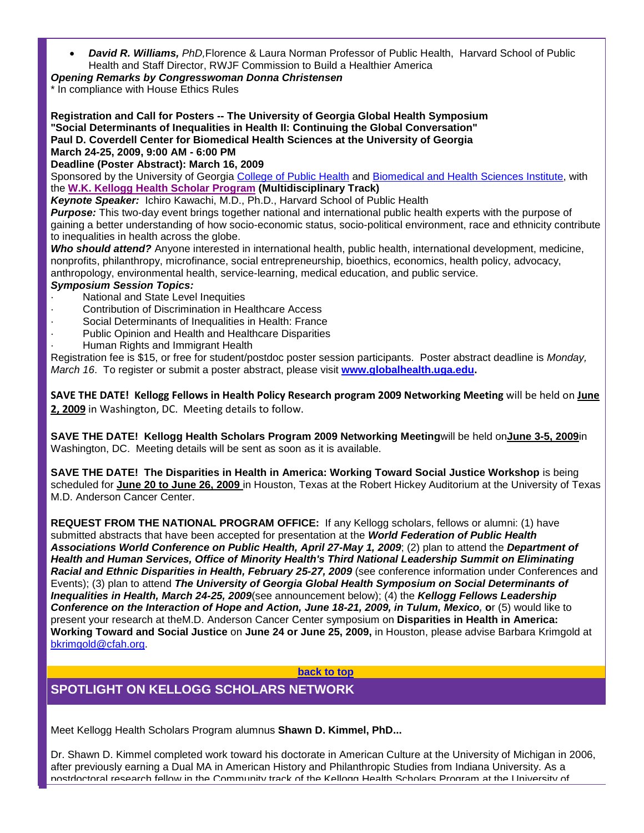• *David R. Williams, PhD,*Florence & Laura Norman Professor of Public Health, Harvard School of Public Health and Staff Director, RWJF Commission to Build a Healthier America

# *Opening Remarks by Congresswoman Donna Christensen*

\* In compliance with House Ethics Rules

**Registration and Call for Posters -- The University of Georgia Global Health Symposium "Social Determinants of Inequalities in Health II: Continuing the Global Conversation" Paul D. Coverdell Center for Biomedical Health Sciences at the University of Georgia March 24-25, 2009, 9:00 AM - 6:00 PM**

**Deadline (Poster Abstract): March 16, 2009**

Sponsored by the University of Georgia [College of Public Health](http://rs6.net/tn.jsp?et=1102456760593&e=001atQw5QrTyAOhUR7cTZpxMWOirnqKNpAC3PpY8aE5bIdq_Nlc3GCM3zfQGPNbo57byLHGL9l-jFNAbqqk8ekDzO_LnjMKH8kPJcTfEzsHmwFsvjK6YgQqmqPf8nyfzzou) and [Biomedical and Health Sciences Institute,](http://rs6.net/tn.jsp?et=1102456760593&e=001atQw5QrTyAMmDiaG2rUnynJ2Ke9FMWz6g7fUYYe4fY9sH6AInGEIL7ntGhw4K_Kumm34sUt24DVB4n4SiFwGVjq18sVAyfQbCxotg-aoLtmKk-pa2ptj6w==) with the **[W.K. Kellogg Health Scholar Program](http://rs6.net/tn.jsp?et=1102456760593&e=001atQw5QrTyAOgel6k9TZYwGR-b3zL_27dqnlnDVA0cIOdenvKFYyzuhvusrSaZXXGqgd2vTpM5lQEzrtbRNK43BIo_MOVQ_csxO1hXStgenLoc0wLJSe1wJsnR8J0hZg0) (Multidisciplinary Track)**

*Keynote Speaker:* Ichiro Kawachi, M.D., Ph.D., Harvard School of Public Health

*Purpose:* This two-day event brings together national and international public health experts with the purpose of gaining a better understanding of how socio-economic status, socio-political environment, race and ethnicity contribute to inequalities in health across the globe.

*Who should attend?* Anyone interested in international health, public health, international development, medicine, nonprofits, philanthropy, microfinance, social entrepreneurship, bioethics, economics, health policy, advocacy, anthropology, environmental health, service-learning, medical education, and public service.

### *Symposium Session Topics:*

- National and State Level Inequities
- Contribution of Discrimination in Healthcare Access
- Social Determinants of Inequalities in Health: France
- Public Opinion and Health and Healthcare Disparities
	- · Human Rights and Immigrant Health

Registration fee is \$15, or free for student/postdoc poster session participants. Poster abstract deadline is *Monday, March 16*. To register or submit a poster abstract, please visit **[www.globalhealth.uga.edu.](http://rs6.net/tn.jsp?et=1102456760593&e=001atQw5QrTyAPrww7Aoqompu4S2sn9VQ1BzkksH7QBHE1NZ2MP9IpDeOE5Grl7zS2Xwe0fPAz6mzd2mua98xWTal-bWwJY4L-glDZL0FWProTj0hfhD_wP_A==)**

**SAVE THE DATE! Kellogg Fellows in Health Policy Research program 2009 Networking Meeting** will be held on **June 2, 2009** in Washington, DC. Meeting details to follow.

**SAVE THE DATE! Kellogg Health Scholars Program 2009 Networking Meeting**will be held on**June 3-5, 2009**in Washington, DC. Meeting details will be sent as soon as it is available.

**SAVE THE DATE! The Disparities in Health in America: Working Toward Social Justice Workshop** is being scheduled for **June 20 to June 26, 2009** in Houston, Texas at the Robert Hickey Auditorium at the University of Texas M.D. Anderson Cancer Center.

**REQUEST FROM THE NATIONAL PROGRAM OFFICE:** If any Kellogg scholars, fellows or alumni: (1) have submitted abstracts that have been accepted for presentation at the *World Federation of Public Health Associations World Conference on Public Health, April 27-May 1, 2009*; (2) plan to attend the *Department of Health and Human Services, Office of Minority Health's Third National Leadership Summit on Eliminating Racial and Ethnic Disparities in Health, February 25-27, 2009* (see conference information under Conferences and Events); (3) plan to attend *The University of Georgia Global Health Symposium on Social Determinants of Inequalities in Health, March 24-25, 2009*(see announcement below); (4) the *Kellogg Fellows Leadership Conference on the Interaction of Hope and Action, June 18-21, 2009, in Tulum, Mexico,* **o**r (5) would like to present your research at theM.D. Anderson Cancer Center symposium on **Disparities in Health in America: Working Toward and Social Justice** on **June 24 or June 25, 2009,** in Houston, please advise Barbara Krimgold at [bkrimgold@cfah.org.](mailto:bkrimgold@cfah.org)

**[back to top](#page-0-0)**

# **SPOTLIGHT ON KELLOGG SCHOLARS NETWORK**

Meet Kellogg Health Scholars Program alumnus **Shawn D. Kimmel, PhD...**

Dr. Shawn D. Kimmel completed work toward his doctorate in American Culture at the University of Michigan in 2006, after previously earning a Dual MA in American History and Philanthropic Studies from Indiana University. As a postdoctoral research fellow in the Community track of the Kellogg Health Scholars Program at the University of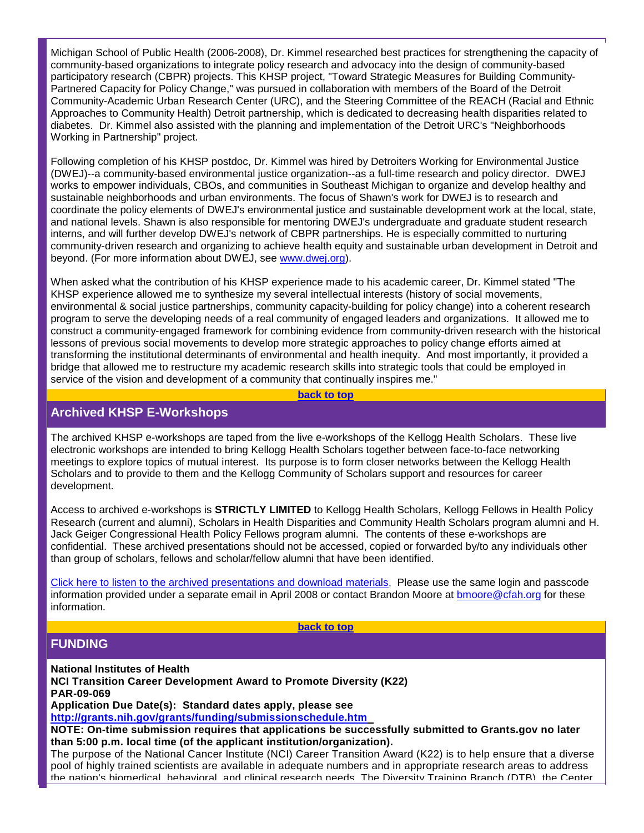Michigan School of Public Health (2006-2008), Dr. Kimmel researched best practices for strengthening the capacity of community-based organizations to integrate policy research and advocacy into the design of community-based participatory research (CBPR) projects. This KHSP project, "Toward Strategic Measures for Building Community-Partnered Capacity for Policy Change," was pursued in collaboration with members of the Board of the Detroit Community-Academic Urban Research Center (URC), and the Steering Committee of the REACH (Racial and Ethnic Approaches to Community Health) Detroit partnership, which is dedicated to decreasing health disparities related to diabetes. Dr. Kimmel also assisted with the planning and implementation of the Detroit URC's "Neighborhoods Working in Partnership" project.

Following completion of his KHSP postdoc, Dr. Kimmel was hired by Detroiters Working for Environmental Justice (DWEJ)--a community-based environmental justice organization--as a full-time research and policy director. DWEJ works to empower individuals, CBOs, and communities in Southeast Michigan to organize and develop healthy and sustainable neighborhoods and urban environments. The focus of Shawn's work for DWEJ is to research and coordinate the policy elements of DWEJ's environmental justice and sustainable development work at the local, state, and national levels. Shawn is also responsible for mentoring DWEJ's undergraduate and graduate student research interns, and will further develop DWEJ's network of CBPR partnerships. He is especially committed to nurturing community-driven research and organizing to achieve health equity and sustainable urban development in Detroit and beyond. (For more information about DWEJ, see [www.dwej.org\)](http://rs6.net/tn.jsp?et=1102456760593&e=001atQw5QrTyAMMGQKQ4vf1bGNihVsH9pcNC9BWncKpm5UoBn4zyaW8G1BR6xH4AaBWmF-BmcHx310T5_yKdnNSoNX0Z_peN1Z6-GGFOEY4RFc=).

When asked what the contribution of his KHSP experience made to his academic career, Dr. Kimmel stated "The KHSP experience allowed me to synthesize my several intellectual interests (history of social movements, environmental & social justice partnerships, community capacity-building for policy change) into a coherent research program to serve the developing needs of a real community of engaged leaders and organizations. It allowed me to construct a community-engaged framework for combining evidence from community-driven research with the historical lessons of previous social movements to develop more strategic approaches to policy change efforts aimed at transforming the institutional determinants of environmental and health inequity. And most importantly, it provided a bridge that allowed me to restructure my academic research skills into strategic tools that could be employed in service of the vision and development of a community that continually inspires me."

#### **[back to top](#page-0-0)**

# **Archived KHSP E-Workshops**

The archived KHSP e-workshops are taped from the live e-workshops of the Kellogg Health Scholars. These live electronic workshops are intended to bring Kellogg Health Scholars together between face-to-face networking meetings to explore topics of mutual interest. Its purpose is to form closer networks between the Kellogg Health Scholars and to provide to them and the Kellogg Community of Scholars support and resources for career development.

Access to archived e-workshops is **STRICTLY LIMITED** to Kellogg Health Scholars, Kellogg Fellows in Health Policy Research (current and alumni), Scholars in Health Disparities and Community Health Scholars program alumni and H. Jack Geiger Congressional Health Policy Fellows program alumni. The contents of these e-workshops are confidential. These archived presentations should not be accessed, copied or forwarded by/to any individuals other than group of scholars, fellows and scholar/fellow alumni that have been identified.

[Click here to listen to the archived presentations and download materials,](http://rs6.net/tn.jsp?et=1102456760593&e=001atQw5QrTyAMbMfi3sVnSKiWIelE_4TFPNHis61ZDJV8fI07obW_yhjr9gwXqnNJfxRQ3FZCe_5YGFrClXg-p6I9jlLM2WDY5aPjqiyGqV4WucK0FheNHApW42d7lHqVqsG02iwEVk_8=) Please use the same login and passcode information provided under a separate email in April 2008 or contact Brandon Moore at [bmoore@cfah.org](mailto:bmoore@cfah.org) for these information.

**[back to top](#page-0-0)**

# **FUNDING**

**National Institutes of Health**

**NCI Transition Career Development Award to Promote Diversity (K22) PAR-09-069 Application Due Date(s): Standard dates apply, please see** 

**[http://grants.nih.gov/grants/funding/submissionschedule.htm](http://rs6.net/tn.jsp?et=1102456760593&e=001atQw5QrTyAOGbulbGV3yVb2C1QEWr0dgJeh7qmpdl6bhoDCWyxZIjydO5R-TJOgipErjoMBVGNqmiq6kQMDhmnJYqKY5CYoxxbVAJ_E5CjC5fHzIw5bJ5fWTtVmewMwEGxJmo8MsGGFREKAmNcQn2PmJohzRNWEf)** 

**NOTE: On-time submission requires that applications be successfully submitted to Grants.gov no later than 5:00 p.m. local time (of the applicant institution/organization).**

The purpose of the National Cancer Institute (NCI) Career Transition Award (K22) is to help ensure that a diverse pool of highly trained scientists are available in adequate numbers and in appropriate research areas to address the nation's biomedical, behavioral, and clinical research needs. The Diversity Training Branch (DTB), the Center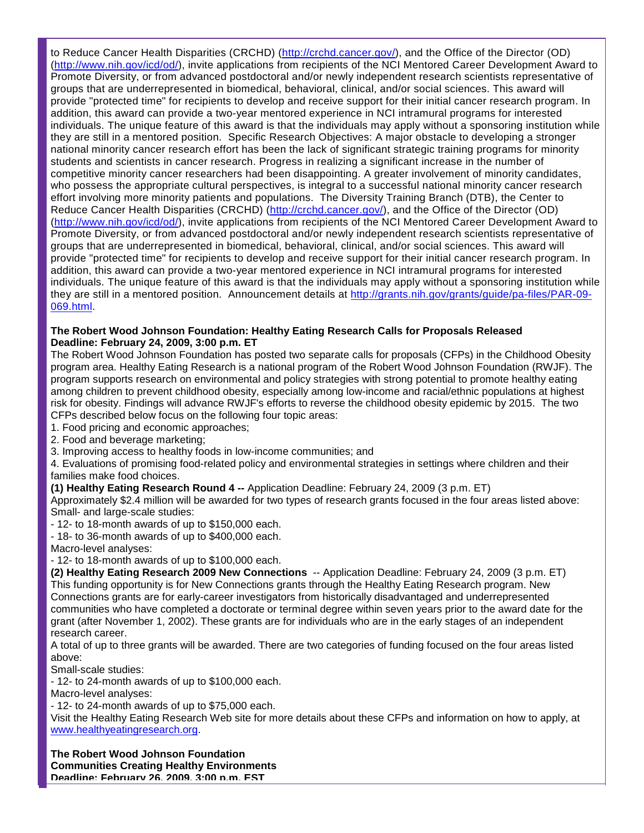to Reduce Cancer Health Disparities (CRCHD) [\(http://crchd.cancer.gov/\)](http://rs6.net/tn.jsp?et=1102456760593&e=001atQw5QrTyAMd4xIt86f2uPwN81wAMX_XqlCFteajBvZ5liPSDQvHDzLmWSWrI2NyiLoDp5R3ea3U0ZuBF8zB9uS8H3ttEJokvo7TAeDda3Q=), and the Office of the Director (OD) [\(http://www.nih.gov/icd/od/\)](http://rs6.net/tn.jsp?et=1102456760593&e=001atQw5QrTyAPNgH92SCfUJfKp5KNqmHomVh_6Fa1YdTFWmCAHKb2zDjEN5OoEV2JEnLdB3K7E9syFT3YWFoXvPj8hpQpKo1YsrpzW1UqSenuraMga1yllsQ==), invite applications from recipients of the NCI Mentored Career Development Award to Promote Diversity, or from advanced postdoctoral and/or newly independent research scientists representative of groups that are underrepresented in biomedical, behavioral, clinical, and/or social sciences. This award will provide "protected time" for recipients to develop and receive support for their initial cancer research program. In addition, this award can provide a two-year mentored experience in NCI intramural programs for interested individuals. The unique feature of this award is that the individuals may apply without a sponsoring institution while they are still in a mentored position. Specific Research Objectives: A major obstacle to developing a stronger national minority cancer research effort has been the lack of significant strategic training programs for minority students and scientists in cancer research. Progress in realizing a significant increase in the number of competitive minority cancer researchers had been disappointing. A greater involvement of minority candidates, who possess the appropriate cultural perspectives, is integral to a successful national minority cancer research effort involving more minority patients and populations. The Diversity Training Branch (DTB), the Center to Reduce Cancer Health Disparities (CRCHD) [\(http://crchd.cancer.gov/\)](http://rs6.net/tn.jsp?et=1102456760593&e=001atQw5QrTyAMd4xIt86f2uPwN81wAMX_XqlCFteajBvZ5liPSDQvHDzLmWSWrI2NyiLoDp5R3ea3U0ZuBF8zB9uS8H3ttEJokvo7TAeDda3Q=), and the Office of the Director (OD) [\(http://www.nih.gov/icd/od/\)](http://rs6.net/tn.jsp?et=1102456760593&e=001atQw5QrTyAPNgH92SCfUJfKp5KNqmHomVh_6Fa1YdTFWmCAHKb2zDjEN5OoEV2JEnLdB3K7E9syFT3YWFoXvPj8hpQpKo1YsrpzW1UqSenuraMga1yllsQ==), invite applications from recipients of the NCI Mentored Career Development Award to Promote Diversity, or from advanced postdoctoral and/or newly independent research scientists representative of groups that are underrepresented in biomedical, behavioral, clinical, and/or social sciences. This award will provide "protected time" for recipients to develop and receive support for their initial cancer research program. In addition, this award can provide a two-year mentored experience in NCI intramural programs for interested individuals. The unique feature of this award is that the individuals may apply without a sponsoring institution while they are still in a mentored position. Announcement details at [http://grants.nih.gov/grants/guide/pa-files/PAR-09-](http://rs6.net/tn.jsp?et=1102456760593&e=001atQw5QrTyAMPj-zV5hAgPVKBVQQAJ-tv7r2rnx3KUp2Y1_wObIUtrFuVQTZmePm36KdPv1vhNxV6B1vtRHtUzpeqUd94cV4woleJyCd_0iIQgPycRewEzMK1finIfSJtNKDNAlB5MiQIJ5ITed8O2fJs0gt_h4Ty9y3gWZnIeN4=) [069.html.](http://rs6.net/tn.jsp?et=1102456760593&e=001atQw5QrTyAMPj-zV5hAgPVKBVQQAJ-tv7r2rnx3KUp2Y1_wObIUtrFuVQTZmePm36KdPv1vhNxV6B1vtRHtUzpeqUd94cV4woleJyCd_0iIQgPycRewEzMK1finIfSJtNKDNAlB5MiQIJ5ITed8O2fJs0gt_h4Ty9y3gWZnIeN4=)

### **The Robert Wood Johnson Foundation: Healthy Eating Research Calls for Proposals Released Deadline: February 24, 2009, 3:00 p.m. ET**

The Robert Wood Johnson Foundation has posted two separate calls for proposals (CFPs) in the Childhood Obesity program area. Healthy Eating Research is a national program of the Robert Wood Johnson Foundation (RWJF). The program supports research on environmental and policy strategies with strong potential to promote healthy eating among children to prevent childhood obesity, especially among low-income and racial/ethnic populations at highest risk for obesity. Findings will advance RWJF's efforts to reverse the childhood obesity epidemic by 2015. The two CFPs described below focus on the following four topic areas:

- 1. Food pricing and economic approaches;
- 2. Food and beverage marketing;
- 3. Improving access to healthy foods in low-income communities; and

4. Evaluations of promising food-related policy and environmental strategies in settings where children and their families make food choices.

#### **(1) Healthy Eating Research Round 4 --** Application Deadline: February 24, 2009 (3 p.m. ET)

Approximately \$2.4 million will be awarded for two types of research grants focused in the four areas listed above: Small- and large-scale studies:

- 12- to 18-month awards of up to \$150,000 each.
- 18- to 36-month awards of up to \$400,000 each.

Macro-level analyses:

- 12- to 18-month awards of up to \$100,000 each.

**(2) Healthy Eating Research 2009 New Connections** -- Application Deadline: February 24, 2009 (3 p.m. ET) This funding opportunity is for New Connections grants through the Healthy Eating Research program. New Connections grants are for early-career investigators from historically disadvantaged and underrepresented communities who have completed a doctorate or terminal degree within seven years prior to the award date for the grant (after November 1, 2002). These grants are for individuals who are in the early stages of an independent research career.

A total of up to three grants will be awarded. There are two categories of funding focused on the four areas listed above:

Small-scale studies:

- 12- to 24-month awards of up to \$100,000 each.

Macro-level analyses:

- 12- to 24-month awards of up to \$75,000 each.

Visit the Healthy Eating Research Web site for more details about these CFPs and information on how to apply, at [www.healthyeatingresearch.org.](http://rs6.net/tn.jsp?et=1102456760593&e=001atQw5QrTyAMwn5sXw52iO3z5xnx0R9hbhoA91cMRcePD4_cJGJLLlRkiLmWaJfoQD_8cYwpg_QiEAO62Et8fBmYH1MShCt_e3jL03ZRpOzO8MB6D8ypb_SLLnYMb81Wq)

**The Robert Wood Johnson Foundation**

**Communities Creating Healthy Environments Deadline: February 26, 2009, 3:00 p.m. EST**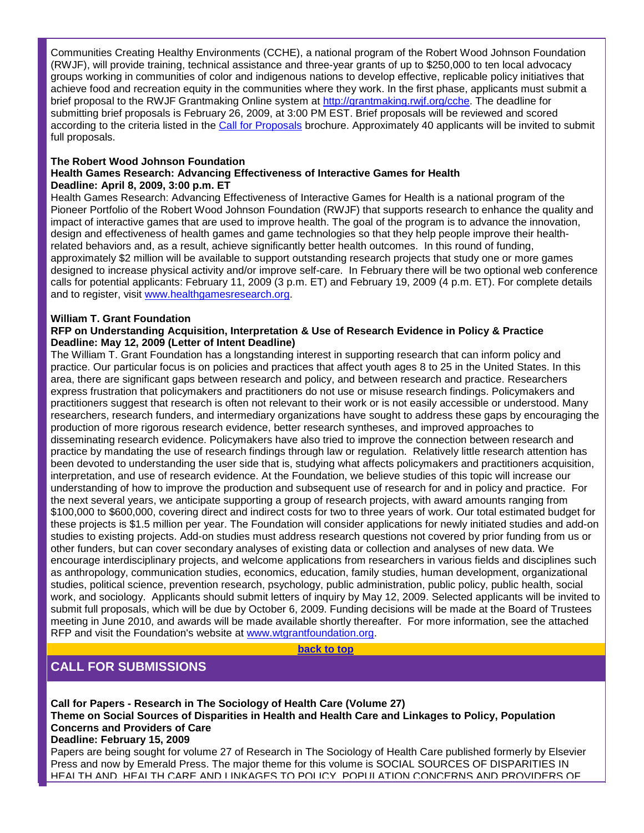Communities Creating Healthy Environments (CCHE), a national program of the Robert Wood Johnson Foundation (RWJF), will provide training, technical assistance and three-year grants of up to \$250,000 to ten local advocacy groups working in communities of color and indigenous nations to develop effective, replicable policy initiatives that achieve food and recreation equity in the communities where they work. In the first phase, applicants must submit a brief proposal to the RWJF Grantmaking Online system at [http://grantmaking.rwjf.org/cche.](http://rs6.net/tn.jsp?et=1102456760593&e=001atQw5QrTyAP2OIiG-53PyaQ3R66o06ZsKPwVsKo4mLwIcpEKyQ9C8hT4eMYhDQBnFMJYvosVFNjv3SVDMo5s_z2th96Sdej8xkgSLY-LRIVIXJmo0hVR0g==) The deadline for submitting brief proposals is February 26, 2009, at 3:00 PM EST. Brief proposals will be reviewed and scored according to the criteria listed in the [Call for Proposals](http://rs6.net/tn.jsp?et=1102456760593&e=001atQw5QrTyAOoIdbBBFrD3LTH-78R9mUZE0uUmC-SGlvvG1EwtVYPHXO2-kvEGzOZGn9pm1CGdQ1P7g7eqVH9zcrX5mffAu7HyzeX1ISopUcL1eW5-Hy7OE1_5JTvDj6wfnkG_33LYyycyRFmwh35nG9ooRV9EYhB) brochure. Approximately 40 applicants will be invited to submit full proposals.

### **The Robert Wood Johnson Foundation**

### **Health Games Research: Advancing Effectiveness of Interactive Games for Health Deadline: April 8, 2009, 3:00 p.m. ET**

Health Games Research: Advancing Effectiveness of Interactive Games for Health is a national program of the Pioneer Portfolio of the Robert Wood Johnson Foundation (RWJF) that supports research to enhance the quality and impact of interactive games that are used to improve health. The goal of the program is to advance the innovation, design and effectiveness of health games and game technologies so that they help people improve their healthrelated behaviors and, as a result, achieve significantly better health outcomes. In this round of funding, approximately \$2 million will be available to support outstanding research projects that study one or more games designed to increase physical activity and/or improve self-care. In February there will be two optional web conference calls for potential applicants: February 11, 2009 (3 p.m. ET) and February 19, 2009 (4 p.m. ET). For complete details and to register, visit [www.healthgamesresearch.org.](http://rs6.net/tn.jsp?et=1102456760593&e=001atQw5QrTyAPkgDThwFCIwRfHgTnwVW0HlX9okwan0ITqZENxZ21S4AkOW71zrA2e0Wm6ZkJZdBmOC8KYRdst-x2OlnchJid4Mho1wjOMKy5KQ5mVVktCNoELLvFICx1y)

### **William T. Grant Foundation**

#### **RFP on Understanding Acquisition, Interpretation & Use of Research Evidence in Policy & Practice Deadline: May 12, 2009 (Letter of Intent Deadline)**

The William T. Grant Foundation has a longstanding interest in supporting research that can inform policy and practice. Our particular focus is on policies and practices that affect youth ages 8 to 25 in the United States. In this area, there are significant gaps between research and policy, and between research and practice. Researchers express frustration that policymakers and practitioners do not use or misuse research findings. Policymakers and practitioners suggest that research is often not relevant to their work or is not easily accessible or understood. Many researchers, research funders, and intermediary organizations have sought to address these gaps by encouraging the production of more rigorous research evidence, better research syntheses, and improved approaches to disseminating research evidence. Policymakers have also tried to improve the connection between research and practice by mandating the use of research findings through law or regulation. Relatively little research attention has been devoted to understanding the user side that is, studying what affects policymakers and practitioners acquisition, interpretation, and use of research evidence. At the Foundation, we believe studies of this topic will increase our understanding of how to improve the production and subsequent use of research for and in policy and practice. For the next several years, we anticipate supporting a group of research projects, with award amounts ranging from \$100,000 to \$600,000, covering direct and indirect costs for two to three years of work. Our total estimated budget for these projects is \$1.5 million per year. The Foundation will consider applications for newly initiated studies and add-on studies to existing projects. Add-on studies must address research questions not covered by prior funding from us or other funders, but can cover secondary analyses of existing data or collection and analyses of new data. We encourage interdisciplinary projects, and welcome applications from researchers in various fields and disciplines such as anthropology, communication studies, economics, education, family studies, human development, organizational studies, political science, prevention research, psychology, public administration, public policy, public health, social work, and sociology. Applicants should submit letters of inquiry by May 12, 2009. Selected applicants will be invited to submit full proposals, which will be due by October 6, 2009. Funding decisions will be made at the Board of Trustees meeting in June 2010, and awards will be made available shortly thereafter. For more information, see the attached RFP and visit the Foundation's website at [www.wtgrantfoundation.org.](http://rs6.net/tn.jsp?et=1102456760593&e=001atQw5QrTyANcUg_X8jTEqRCDg5FEXuto-efYUcyzRoT6-rnfzsTpurAesuSeakSZ5c4JufA20z-6jtGQEg6-945xg89t6LLWPn4N9_2qJhHEPHJ-iFT_dHZvqotfB1XU)

**[back to top](#page-0-0)**

# **CALL FOR SUBMISSIONS**

**Call for Papers - Research in The Sociology of Health Care (Volume 27) Theme on Social Sources of Disparities in Health and Health Care and Linkages to Policy, Population Concerns and Providers of Care Deadline: February 15, 2009**

Papers are being sought for volume 27 of Research in The Sociology of Health Care published formerly by Elsevier Press and now by Emerald Press. The major theme for this volume is SOCIAL SOURCES OF DISPARITIES IN HEALTH AND HEALTH CARE AND LINKAGES TO POLICY, POPULATION CONCERNS AND PROVIDERS OF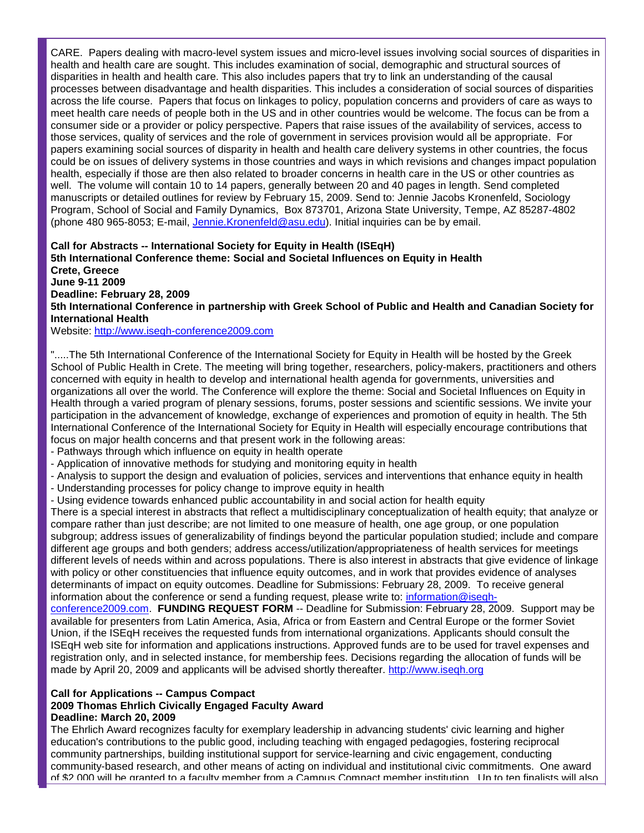CARE. Papers dealing with macro-level system issues and micro-level issues involving social sources of disparities in health and health care are sought. This includes examination of social, demographic and structural sources of disparities in health and health care. This also includes papers that try to link an understanding of the causal processes between disadvantage and health disparities. This includes a consideration of social sources of disparities across the life course. Papers that focus on linkages to policy, population concerns and providers of care as ways to meet health care needs of people both in the US and in other countries would be welcome. The focus can be from a consumer side or a provider or policy perspective. Papers that raise issues of the availability of services, access to those services, quality of services and the role of government in services provision would all be appropriate. For papers examining social sources of disparity in health and health care delivery systems in other countries, the focus could be on issues of delivery systems in those countries and ways in which revisions and changes impact population health, especially if those are then also related to broader concerns in health care in the US or other countries as well. The volume will contain 10 to 14 papers, generally between 20 and 40 pages in length. Send completed manuscripts or detailed outlines for review by February 15, 2009. Send to: Jennie Jacobs Kronenfeld, Sociology Program, School of Social and Family Dynamics, Box 873701, Arizona State University, Tempe, AZ 85287-4802 (phone 480 965-8053; E-mail, [Jennie.Kronenfeld@asu.edu\)](mailto:Jennie.Kronenfeld@asu.edu). Initial inquiries can be by email.

# **Call for Abstracts -- International Society for Equity in Health (ISEqH) 5th International Conference theme: Social and Societal Influences on Equity in Health Crete, Greece**

**June 9-11 2009 Deadline: February 28, 2009 5th International Conference in partnership with Greek School of Public and Health and Canadian Society for International Health**

Website: [http://www.iseqh-conference2009.com](http://rs6.net/tn.jsp?et=1102456760593&e=001atQw5QrTyAMnnq1xh_Y09EWGawVrve6My7xmT7YtAewfQic8b9hsqJW0QvvniwcKMP6_fWkL3GgMEQ3urhbRv9p_s3ThIY1O36ES8yBcJFWflLktoWlMO_SvsJ3Nna_C)

".....The 5th International Conference of the International Society for Equity in Health will be hosted by the Greek School of Public Health in Crete. The meeting will bring together, researchers, policy-makers, practitioners and others concerned with equity in health to develop and international health agenda for governments, universities and organizations all over the world. The Conference will explore the theme: Social and Societal Influences on Equity in Health through a varied program of plenary sessions, forums, poster sessions and scientific sessions. We invite your participation in the advancement of knowledge, exchange of experiences and promotion of equity in health. The 5th International Conference of the International Society for Equity in Health will especially encourage contributions that focus on major health concerns and that present work in the following areas:

- Pathways through which influence on equity in health operate
- Application of innovative methods for studying and monitoring equity in health
- Analysis to support the design and evaluation of policies, services and interventions that enhance equity in health
- Understanding processes for policy change to improve equity in health
- Using evidence towards enhanced public accountability in and social action for health equity

There is a special interest in abstracts that reflect a multidisciplinary conceptualization of health equity; that analyze or compare rather than just describe; are not limited to one measure of health, one age group, or one population subgroup; address issues of generalizability of findings beyond the particular population studied; include and compare different age groups and both genders; address access/utilization/appropriateness of health services for meetings different levels of needs within and across populations. There is also interest in abstracts that give evidence of linkage with policy or other constituencies that influence equity outcomes, and in work that provides evidence of analyses determinants of impact on equity outcomes. Deadline for Submissions: February 28, 2009. To receive general information about the conference or send a funding request, please write to: information@isegh-

[conference2009.com.](mailto:information@iseqh-conference2009.com) **FUNDING REQUEST FORM** -- Deadline for Submission: February 28, 2009. Support may be available for presenters from Latin America, Asia, Africa or from Eastern and Central Europe or the former Soviet Union, if the ISEqH receives the requested funds from international organizations. Applicants should consult the ISEqH web site for information and applications instructions. Approved funds are to be used for travel expenses and registration only, and in selected instance, for membership fees. Decisions regarding the allocation of funds will be made by April 20, 2009 and applicants will be advised shortly thereafter. [http://www.iseqh.org](http://rs6.net/tn.jsp?et=1102456760593&e=001atQw5QrTyAMz5FXSTtdb58sYe0bpl4GP0g2OWuOlmWtj5tTt_30NPoUj_ZA-uLq3EE64GiX1AcU2LNpWM8KomFpFxCfkITDkwvP_CDCClcY=) 

# **Call for Applications -- Campus Compact**

#### **2009 Thomas Ehrlich Civically Engaged Faculty Award Deadline: March 20, 2009**

The Ehrlich Award recognizes faculty for exemplary leadership in advancing students' civic learning and higher education's contributions to the public good, including teaching with engaged pedagogies, fostering reciprocal community partnerships, building institutional support for service-learning and civic engagement, conducting community-based research, and other means of acting on individual and institutional civic commitments. One award of \$2,000 will be granted to a faculty member from a Campus Compact member institution. Up to ten finalists will also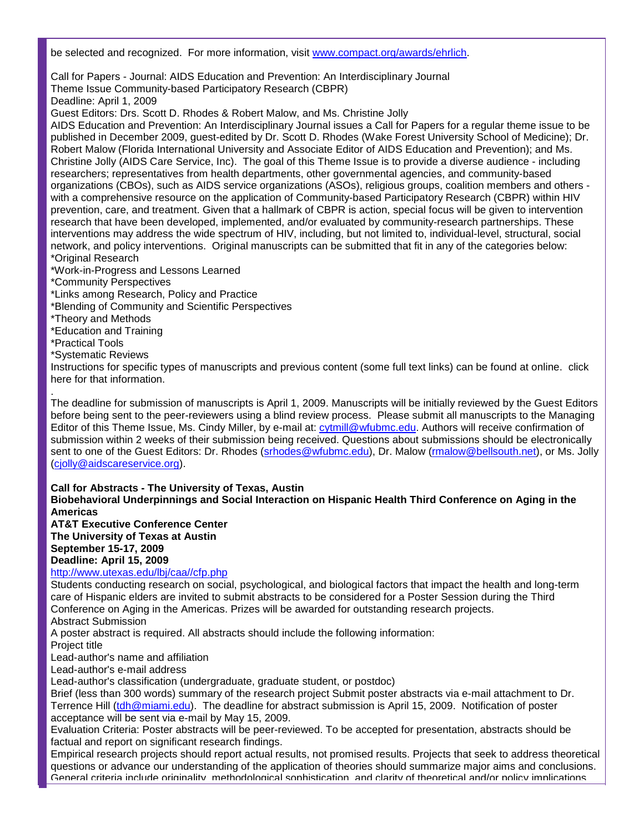be selected and recognized. For more information, visit [www.compact.org/awards/ehrlich.](http://rs6.net/tn.jsp?et=1102456760593&e=001atQw5QrTyAONc43WYK62BhR3KHL6FLyO5PEIcz5vPk53u0OB91SHkVUHXbUqL8mKpiUMNoK5rBpIpo2udvASIV6aBTyl6TFtrn3EX75cony5pS7h5IabcvOBGqEMtrwf)

Call for Papers - Journal: AIDS Education and Prevention: An Interdisciplinary Journal Theme Issue Community-based Participatory Research (CBPR)

Deadline: April 1, 2009

Guest Editors: Drs. Scott D. Rhodes & Robert Malow, and Ms. Christine Jolly

AIDS Education and Prevention: An Interdisciplinary Journal issues a Call for Papers for a regular theme issue to be published in December 2009, guest-edited by Dr. Scott D. Rhodes (Wake Forest University School of Medicine); Dr. Robert Malow (Florida International University and Associate Editor of AIDS Education and Prevention); and Ms. Christine Jolly (AIDS Care Service, Inc). The goal of this Theme Issue is to provide a diverse audience - including researchers; representatives from health departments, other governmental agencies, and community-based organizations (CBOs), such as AIDS service organizations (ASOs), religious groups, coalition members and others with a comprehensive resource on the application of Community-based Participatory Research (CBPR) within HIV prevention, care, and treatment. Given that a hallmark of CBPR is action, special focus will be given to intervention research that have been developed, implemented, and/or evaluated by community-research partnerships. These interventions may address the wide spectrum of HIV, including, but not limited to, individual-level, structural, social network, and policy interventions. Original manuscripts can be submitted that fit in any of the categories below: \*Original Research

- \*Work-in-Progress and Lessons Learned
- \*Community Perspectives
- \*Links among Research, Policy and Practice
- \*Blending of Community and Scientific Perspectives
- \*Theory and Methods
- \*Education and Training
- \*Practical Tools
- \*Systematic Reviews

Instructions for specific types of manuscripts and previous content (some full text links) can be found at online. click here for that information.

. The deadline for submission of manuscripts is April 1, 2009. Manuscripts will be initially reviewed by the Guest Editors before being sent to the peer-reviewers using a blind review process. Please submit all manuscripts to the Managing Editor of this Theme Issue, Ms. Cindy Miller, by e-mail at: [cytmill@wfubmc.edu.](mailto:cytmill@wfubmc.edu) Authors will receive confirmation of submission within 2 weeks of their submission being received. Questions about submissions should be electronically sent to one of the Guest Editors: Dr. Rhodes [\(srhodes@wfubmc.edu\)](mailto:srhodes@wfubmc.edu), Dr. Malow (*rmalow@bellsouth.net*), or Ms. Jolly [\(cjolly@aidscareservice.org\)](mailto:cjolly@aidscareservice.org).

**Call for Abstracts - The University of Texas, Austin**

**Biobehavioral Underpinnings and Social Interaction on Hispanic Health Third Conference on Aging in the Americas**

**AT&T Executive Conference Center The University of Texas at Austin September 15-17, 2009 Deadline: April 15, 2009**

### [http://www.utexas.edu/lbj/caa//cfp.php](http://rs6.net/tn.jsp?et=1102456760593&e=001atQw5QrTyAN9mvU5ptN824-J2oQjsGkJSevhE5PoCsOV8uPgTrniDL7IMl9pCx0NSLFCCvY81YmidJLYuO1bFcK4Aew6t6mWledoyhuCpiWUOPPHHGPsSgs4Kj4i5cOrDCbVm5o0q8I=)

Students conducting research on social, psychological, and biological factors that impact the health and long-term care of Hispanic elders are invited to submit abstracts to be considered for a Poster Session during the Third Conference on Aging in the Americas. Prizes will be awarded for outstanding research projects.

Abstract Submission

A poster abstract is required. All abstracts should include the following information:

Project title

Lead-author's name and affiliation

Lead-author's e-mail address

Lead-author's classification (undergraduate, graduate student, or postdoc)

Brief (less than 300 words) summary of the research project Submit poster abstracts via e-mail attachment to Dr. Terrence Hill [\(tdh@miami.edu\)](mailto:tdh@miami.edu). The deadline for abstract submission is April 15, 2009. Notification of poster acceptance will be sent via e-mail by May 15, 2009.

Evaluation Criteria: Poster abstracts will be peer-reviewed. To be accepted for presentation, abstracts should be factual and report on significant research findings.

Empirical research projects should report actual results, not promised results. Projects that seek to address theoretical questions or advance our understanding of the application of theories should summarize major aims and conclusions. General criteria include originality, methodological sophistication, and clarity of theoretical and/or policy implications.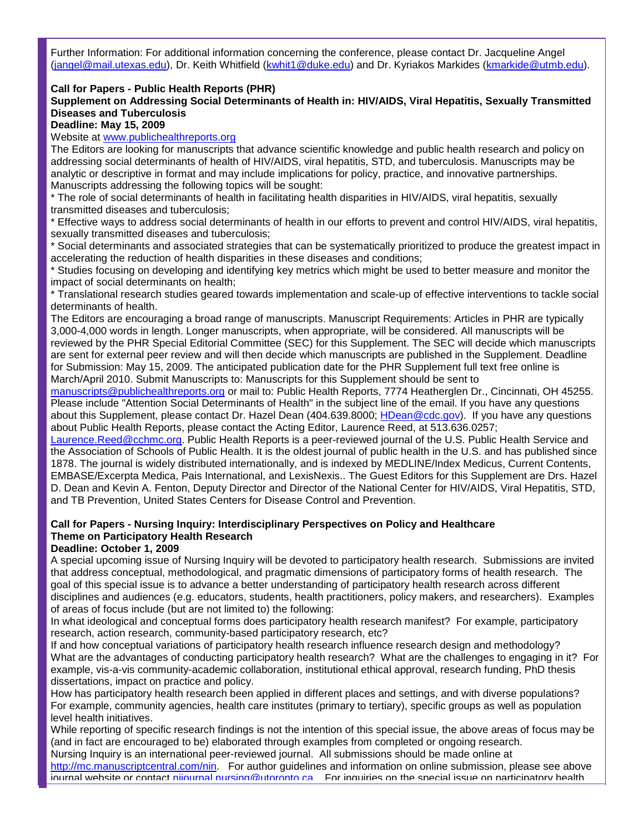Further Information: For additional information concerning the conference, please contact Dr. Jacqueline Angel [\(jangel@mail.utexas.edu\)](mailto:jangel@mail.utexas.edu), Dr. Keith Whitfield [\(kwhit1@duke.edu\)](mailto:kwhit1@duke.edu) and Dr. Kyriakos Markides [\(kmarkide@utmb.edu\)](mailto:kmarkide@utmb.edu).

### **Call for Papers - Public Health Reports (PHR)**

**Supplement on Addressing Social Determinants of Health in: HIV/AIDS, Viral Hepatitis, Sexually Transmitted Diseases and Tuberculosis** 

**Deadline: May 15, 2009**

Website at [www.publichealthreports.org](http://rs6.net/tn.jsp?et=1102456760593&e=001atQw5QrTyAOwBAsVf79i4U17UGuYgCX9VQsbCVPZf4AxVxbZt7XdEY7TUe0W0wyJic9Qxp_py9VGuND_d-fwn0nn3uxIb4eblvITlRGk88cMA-MBhIuBR0vbRZIlrNbs)

The Editors are looking for manuscripts that advance scientific knowledge and public health research and policy on addressing social determinants of health of HIV/AIDS, viral hepatitis, STD, and tuberculosis. Manuscripts may be analytic or descriptive in format and may include implications for policy, practice, and innovative partnerships. Manuscripts addressing the following topics will be sought:

\* The role of social determinants of health in facilitating health disparities in HIV/AIDS, viral hepatitis, sexually transmitted diseases and tuberculosis;

\* Effective ways to address social determinants of health in our efforts to prevent and control HIV/AIDS, viral hepatitis, sexually transmitted diseases and tuberculosis;

\* Social determinants and associated strategies that can be systematically prioritized to produce the greatest impact in accelerating the reduction of health disparities in these diseases and conditions;

\* Studies focusing on developing and identifying key metrics which might be used to better measure and monitor the impact of social determinants on health;

\* Translational research studies geared towards implementation and scale-up of effective interventions to tackle social determinants of health.

The Editors are encouraging a broad range of manuscripts. Manuscript Requirements: Articles in PHR are typically 3,000-4,000 words in length. Longer manuscripts, when appropriate, will be considered. All manuscripts will be reviewed by the PHR Special Editorial Committee (SEC) for this Supplement. The SEC will decide which manuscripts are sent for external peer review and will then decide which manuscripts are published in the Supplement. Deadline for Submission: May 15, 2009. The anticipated publication date for the PHR Supplement full text free online is March/April 2010. Submit Manuscripts to: Manuscripts for this Supplement should be sent to

[manuscripts@publichealthreports.org](mailto:manuscripts@publichealthreports.org) or mail to: Public Health Reports, 7774 Heatherglen Dr., Cincinnati, OH 45255. Please include "Attention Social Determinants of Health" in the subject line of the email. If you have any questions about this Supplement, please contact Dr. Hazel Dean (404.639.8000; [HDean@cdc.gov\)](mailto:HDean@cdc.gov). If you have any questions about Public Health Reports, please contact the Acting Editor, Laurence Reed, at 513.636.0257;

[Laurence.Reed@cchmc.org.](mailto:Laurence.Reed@cchmc.org) Public Health Reports is a peer-reviewed journal of the U.S. Public Health Service and the Association of Schools of Public Health. It is the oldest journal of public health in the U.S. and has published since 1878. The journal is widely distributed internationally, and is indexed by MEDLINE/Index Medicus, Current Contents, EMBASE/Excerpta Medica, Pais International, and LexisNexis.. The Guest Editors for this Supplement are Drs. Hazel D. Dean and Kevin A. Fenton, Deputy Director and Director of the National Center for HIV/AIDS, Viral Hepatitis, STD, and TB Prevention, United States Centers for Disease Control and Prevention.

# **Call for Papers - Nursing Inquiry: Interdisciplinary Perspectives on Policy and Healthcare Theme on Participatory Health Research**

#### **Deadline: October 1, 2009**

A special upcoming issue of Nursing Inquiry will be devoted to participatory health research. Submissions are invited that address conceptual, methodological, and pragmatic dimensions of participatory forms of health research. The goal of this special issue is to advance a better understanding of participatory health research across different disciplines and audiences (e.g. educators, students, health practitioners, policy makers, and researchers). Examples of areas of focus include (but are not limited to) the following:

In what ideological and conceptual forms does participatory health research manifest? For example, participatory research, action research, community-based participatory research, etc?

If and how conceptual variations of participatory health research influence research design and methodology? What are the advantages of conducting participatory health research? What are the challenges to engaging in it? For example, vis-a-vis community-academic collaboration, institutional ethical approval, research funding, PhD thesis dissertations, impact on practice and policy.

How has participatory health research been applied in different places and settings, and with diverse populations? For example, community agencies, health care institutes (primary to tertiary), specific groups as well as population level health initiatives.

While reporting of specific research findings is not the intention of this special issue, the above areas of focus may be (and in fact are encouraged to be) elaborated through examples from completed or ongoing research.

Nursing Inquiry is an international peer-reviewed journal. All submissions should be made online at [http://mc.manuscriptcentral.com/nin.](http://rs6.net/tn.jsp?et=1102456760593&e=001atQw5QrTyAMSUxWeiIkDrfNOT0XlwfMR1RZfsB_8kQhrmLK4Y6ndvdsIQzv_9KLcojY9jPGdh8NkYoDIhTVrG4UWrohZIiargwluKzf1ehLVp9a5mX-aehUCscBJOmpC) For author quidelines and information on online submission, please see above  $j$ ournal website or contact nijournal nursing@utoronto.ca. For inquiries on the special issue on participatory health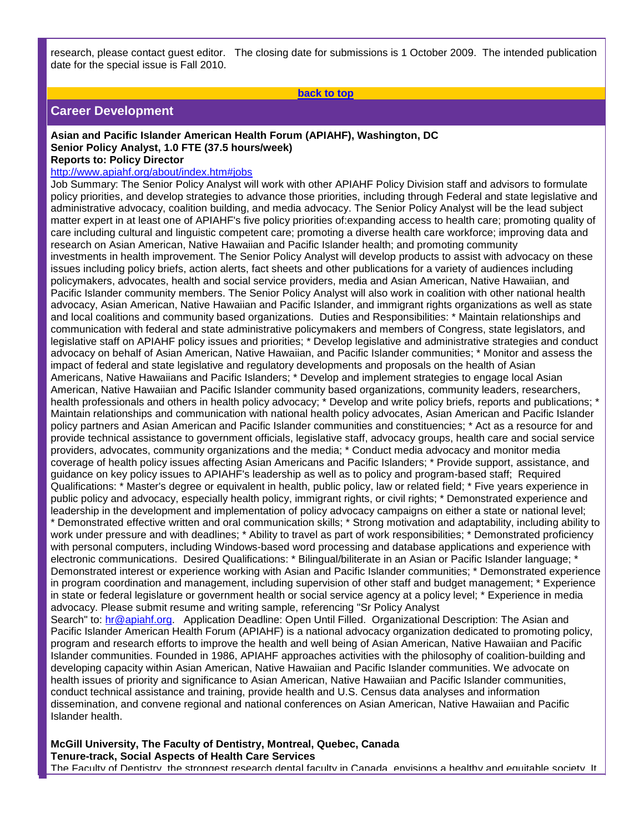date for the special issue is Fall 2010.

research, please contact guest editor. The closing date for submissions is 1 October 2009. The intended publication

**[back to top](#page-0-0)**

# **Career Development**

#### **Asian and Pacific Islander American Health Forum (APIAHF), Washington, DC Senior Policy Analyst, 1.0 FTE (37.5 hours/week) Reports to: Policy Director**

#### [http://www.apiahf.org/about/index.htm#jobs](http://rs6.net/tn.jsp?et=1102456760593&e=001atQw5QrTyAP9QDXEhdiDViNu_nuFApGUwSFDsFqsWtUImsgvCoNsGWkdEvLizaUoICIi17Y0S28kujbMudLqcTbQBfjJDXKTMWNG3vAgTcaR4x7Ex_Fh7yW8lNDKmhqp1A-ms68X9gc=)

Job Summary: The Senior Policy Analyst will work with other APIAHF Policy Division staff and advisors to formulate policy priorities, and develop strategies to advance those priorities, including through Federal and state legislative and administrative advocacy, coalition building, and media advocacy. The Senior Policy Analyst will be the lead subject matter expert in at least one of APIAHF's five policy priorities of:expanding access to health care; promoting quality of care including cultural and linguistic competent care; promoting a diverse health care workforce; improving data and research on Asian American, Native Hawaiian and Pacific Islander health; and promoting community investments in health improvement. The Senior Policy Analyst will develop products to assist with advocacy on these issues including policy briefs, action alerts, fact sheets and other publications for a variety of audiences including policymakers, advocates, health and social service providers, media and Asian American, Native Hawaiian, and Pacific Islander community members. The Senior Policy Analyst will also work in coalition with other national health advocacy, Asian American, Native Hawaiian and Pacific Islander, and immigrant rights organizations as well as state and local coalitions and community based organizations. Duties and Responsibilities: \* Maintain relationships and communication with federal and state administrative policymakers and members of Congress, state legislators, and legislative staff on APIAHF policy issues and priorities; \* Develop legislative and administrative strategies and conduct advocacy on behalf of Asian American, Native Hawaiian, and Pacific Islander communities; \* Monitor and assess the impact of federal and state legislative and regulatory developments and proposals on the health of Asian Americans, Native Hawaiians and Pacific Islanders; \* Develop and implement strategies to engage local Asian American, Native Hawaiian and Pacific Islander community based organizations, community leaders, researchers, health professionals and others in health policy advocacy; \* Develop and write policy briefs, reports and publications; \* Maintain relationships and communication with national health policy advocates, Asian American and Pacific Islander policy partners and Asian American and Pacific Islander communities and constituencies; \* Act as a resource for and provide technical assistance to government officials, legislative staff, advocacy groups, health care and social service providers, advocates, community organizations and the media; \* Conduct media advocacy and monitor media coverage of health policy issues affecting Asian Americans and Pacific Islanders; \* Provide support, assistance, and guidance on key policy issues to APIAHF's leadership as well as to policy and program-based staff; Required Qualifications: \* Master's degree or equivalent in health, public policy, law or related field; \* Five years experience in public policy and advocacy, especially health policy, immigrant rights, or civil rights; \* Demonstrated experience and leadership in the development and implementation of policy advocacy campaigns on either a state or national level; \* Demonstrated effective written and oral communication skills; \* Strong motivation and adaptability, including ability to

work under pressure and with deadlines; \* Ability to travel as part of work responsibilities; \* Demonstrated proficiency with personal computers, including Windows-based word processing and database applications and experience with electronic communications. Desired Qualifications: \* Bilingual/biliterate in an Asian or Pacific Islander language; \* Demonstrated interest or experience working with Asian and Pacific Islander communities; \* Demonstrated experience in program coordination and management, including supervision of other staff and budget management; \* Experience in state or federal legislature or government health or social service agency at a policy level; \* Experience in media advocacy. Please submit resume and writing sample, referencing "Sr Policy Analyst

Search" to: [hr@apiahf.org.](mailto:hr@apiahf.org) Application Deadline: Open Until Filled. Organizational Description: The Asian and Pacific Islander American Health Forum (APIAHF) is a national advocacy organization dedicated to promoting policy, program and research efforts to improve the health and well being of Asian American, Native Hawaiian and Pacific Islander communities. Founded in 1986, APIAHF approaches activities with the philosophy of coalition-building and developing capacity within Asian American, Native Hawaiian and Pacific Islander communities. We advocate on health issues of priority and significance to Asian American, Native Hawaiian and Pacific Islander communities, conduct technical assistance and training, provide health and U.S. Census data analyses and information dissemination, and convene regional and national conferences on Asian American, Native Hawaiian and Pacific Islander health.

**McGill University, The Faculty of Dentistry, Montreal, Quebec, Canada Tenure-track, Social Aspects of Health Care Services**

The Faculty of Dentistry, the strongest research dental faculty in Canada, envisions a healthy and equitable society. It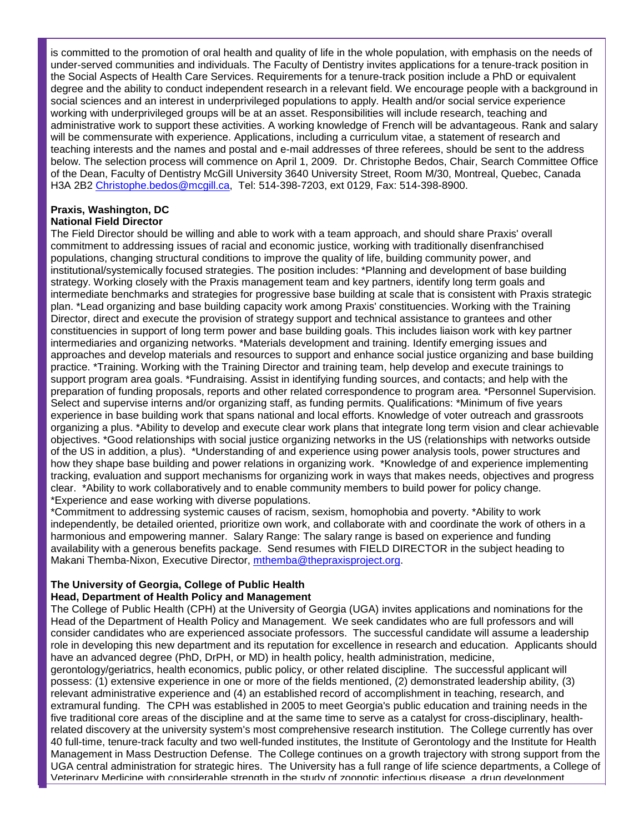is committed to the promotion of oral health and quality of life in the whole population, with emphasis on the needs of under-served communities and individuals. The Faculty of Dentistry invites applications for a tenure-track position in the Social Aspects of Health Care Services. Requirements for a tenure-track position include a PhD or equivalent degree and the ability to conduct independent research in a relevant field. We encourage people with a background in social sciences and an interest in underprivileged populations to apply. Health and/or social service experience working with underprivileged groups will be at an asset. Responsibilities will include research, teaching and administrative work to support these activities. A working knowledge of French will be advantageous. Rank and salary will be commensurate with experience. Applications, including a curriculum vitae, a statement of research and teaching interests and the names and postal and e-mail addresses of three referees, should be sent to the address below. The selection process will commence on April 1, 2009. Dr. Christophe Bedos, Chair, Search Committee Office of the Dean, Faculty of Dentistry McGill University 3640 University Street, Room M/30, Montreal, Quebec, Canada H3A 2B2 [Christophe.bedos@mcgill.ca,](mailto:Christophe.bedos@mcgill.ca) Tel: 514-398-7203, ext 0129, Fax: 514-398-8900.

#### **Praxis, Washington, DC National Field Director**

The Field Director should be willing and able to work with a team approach, and should share Praxis' overall commitment to addressing issues of racial and economic justice, working with traditionally disenfranchised populations, changing structural conditions to improve the quality of life, building community power, and institutional/systemically focused strategies. The position includes: \*Planning and development of base building strategy. Working closely with the Praxis management team and key partners, identify long term goals and intermediate benchmarks and strategies for progressive base building at scale that is consistent with Praxis strategic plan. \*Lead organizing and base building capacity work among Praxis' constituencies. Working with the Training Director, direct and execute the provision of strategy support and technical assistance to grantees and other constituencies in support of long term power and base building goals. This includes liaison work with key partner intermediaries and organizing networks. \*Materials development and training. Identify emerging issues and approaches and develop materials and resources to support and enhance social justice organizing and base building practice. \*Training. Working with the Training Director and training team, help develop and execute trainings to support program area goals. \*Fundraising. Assist in identifying funding sources, and contacts; and help with the preparation of funding proposals, reports and other related correspondence to program area. \*Personnel Supervision. Select and supervise interns and/or organizing staff, as funding permits. Qualifications: \*Minimum of five years experience in base building work that spans national and local efforts. Knowledge of voter outreach and grassroots organizing a plus. \*Ability to develop and execute clear work plans that integrate long term vision and clear achievable objectives. \*Good relationships with social justice organizing networks in the US (relationships with networks outside of the US in addition, a plus). \*Understanding of and experience using power analysis tools, power structures and how they shape base building and power relations in organizing work. \*Knowledge of and experience implementing tracking, evaluation and support mechanisms for organizing work in ways that makes needs, objectives and progress clear. \*Ability to work collaboratively and to enable community members to build power for policy change. \*Experience and ease working with diverse populations.

\*Commitment to addressing systemic causes of racism, sexism, homophobia and poverty. \*Ability to work independently, be detailed oriented, prioritize own work, and collaborate with and coordinate the work of others in a harmonious and empowering manner. Salary Range: The salary range is based on experience and funding availability with a generous benefits package. Send resumes with FIELD DIRECTOR in the subject heading to Makani Themba-Nixon, Executive Director, [mthemba@thepraxisproject.org.](mailto:mthemba@thepraxisproject.org)

# **The University of Georgia, College of Public Health Head, Department of Health Policy and Management**

The College of Public Health (CPH) at the University of Georgia (UGA) invites applications and nominations for the Head of the Department of Health Policy and Management. We seek candidates who are full professors and will consider candidates who are experienced associate professors. The successful candidate will assume a leadership role in developing this new department and its reputation for excellence in research and education. Applicants should have an advanced degree (PhD, DrPH, or MD) in health policy, health administration, medicine,

gerontology/geriatrics, health economics, public policy, or other related discipline. The successful applicant will possess: (1) extensive experience in one or more of the fields mentioned, (2) demonstrated leadership ability, (3) relevant administrative experience and (4) an established record of accomplishment in teaching, research, and extramural funding. The CPH was established in 2005 to meet Georgia's public education and training needs in the five traditional core areas of the discipline and at the same time to serve as a catalyst for cross-disciplinary, healthrelated discovery at the university system's most comprehensive research institution. The College currently has over 40 full-time, tenure-track faculty and two well-funded institutes, the Institute of Gerontology and the Institute for Health Management in Mass Destruction Defense. The College continues on a growth trajectory with strong support from the UGA central administration for strategic hires. The University has a full range of life science departments, a College of Veterinary Medicine with considerable strength in the study of zoonotic infectious disease, a drug development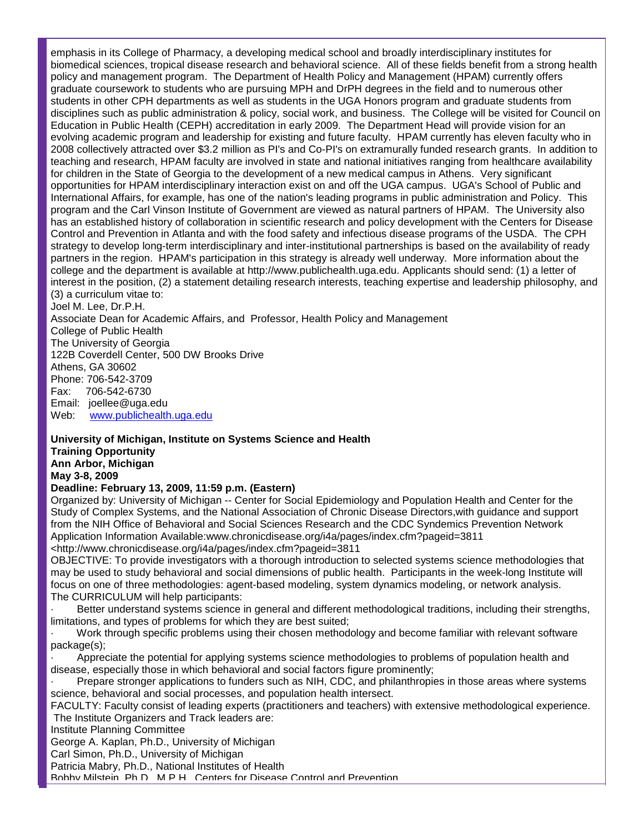emphasis in its College of Pharmacy, a developing medical school and broadly interdisciplinary institutes for biomedical sciences, tropical disease research and behavioral science. All of these fields benefit from a strong health policy and management program. The Department of Health Policy and Management (HPAM) currently offers graduate coursework to students who are pursuing MPH and DrPH degrees in the field and to numerous other students in other CPH departments as well as students in the UGA Honors program and graduate students from disciplines such as public administration & policy, social work, and business. The College will be visited for Council on Education in Public Health (CEPH) accreditation in early 2009. The Department Head will provide vision for an evolving academic program and leadership for existing and future faculty. HPAM currently has eleven faculty who in 2008 collectively attracted over \$3.2 million as PI's and Co-PI's on extramurally funded research grants. In addition to teaching and research, HPAM faculty are involved in state and national initiatives ranging from healthcare availability for children in the State of Georgia to the development of a new medical campus in Athens. Very significant opportunities for HPAM interdisciplinary interaction exist on and off the UGA campus. UGA's School of Public and International Affairs, for example, has one of the nation's leading programs in public administration and Policy. This program and the Carl Vinson Institute of Government are viewed as natural partners of HPAM. The University also has an established history of collaboration in scientific research and policy development with the Centers for Disease Control and Prevention in Atlanta and with the food safety and infectious disease programs of the USDA. The CPH strategy to develop long-term interdisciplinary and inter-institutional partnerships is based on the availability of ready partners in the region. HPAM's participation in this strategy is already well underway. More information about the college and the department is available at http://www.publichealth.uga.edu. Applicants should send: (1) a letter of interest in the position, (2) a statement detailing research interests, teaching expertise and leadership philosophy, and (3) a curriculum vitae to: Joel M. Lee, Dr.P.H. Associate Dean for Academic Affairs, and Professor, Health Policy and Management College of Public Health The University of Georgia 122B Coverdell Center, 500 DW Brooks Drive

Athens, GA 30602 Phone: 706-542-3709

Fax: 706-542-6730

Email: joellee@uga.edu<br>Web: www.publichealth [www.publichealth.uga.edu](http://rs6.net/tn.jsp?et=1102456760593&e=001atQw5QrTyAP_FtG4J266sxlPQWIOCktAFKJM_yso-Qnwcj8YF7DvP8nYttUYIS_4DKYPLxMr9DMGJEFVopKHwnVp3seInhS3oToFG9vJ_JlVdKEMTZfBZw==)

### **University of Michigan, Institute on Systems Science and Health Training Opportunity Ann Arbor, Michigan**

**May 3-8, 2009**

# **Deadline: February 13, 2009, 11:59 p.m. (Eastern)**

Organized by: University of Michigan -- Center for Social Epidemiology and Population Health and Center for the Study of Complex Systems, and the National Association of Chronic Disease Directors,with guidance and support from the NIH Office of Behavioral and Social Sciences Research and the CDC Syndemics Prevention Network Application Information Available:www.chronicdisease.org/i4a/pages/index.cfm?pageid=3811 <http://www.chronicdisease.org/i4a/pages/index.cfm?pageid=3811

OBJECTIVE: To provide investigators with a thorough introduction to selected systems science methodologies that may be used to study behavioral and social dimensions of public health. Participants in the week-long Institute will focus on one of three methodologies: agent-based modeling, system dynamics modeling, or network analysis. The CURRICULUM will help participants:

Better understand systems science in general and different methodological traditions, including their strengths, limitations, and types of problems for which they are best suited;

Work through specific problems using their chosen methodology and become familiar with relevant software package(s);

· Appreciate the potential for applying systems science methodologies to problems of population health and disease, especially those in which behavioral and social factors figure prominently;

· Prepare stronger applications to funders such as NIH, CDC, and philanthropies in those areas where systems science, behavioral and social processes, and population health intersect.

FACULTY: Faculty consist of leading experts (practitioners and teachers) with extensive methodological experience. The Institute Organizers and Track leaders are:

Institute Planning Committee

George A. Kaplan, Ph.D., University of Michigan

Carl Simon, Ph.D., University of Michigan

Patricia Mabry, Ph.D., National Institutes of Health

Bobby Milstein, Ph.D., M.P.H., Centers for Disease Control and Prevention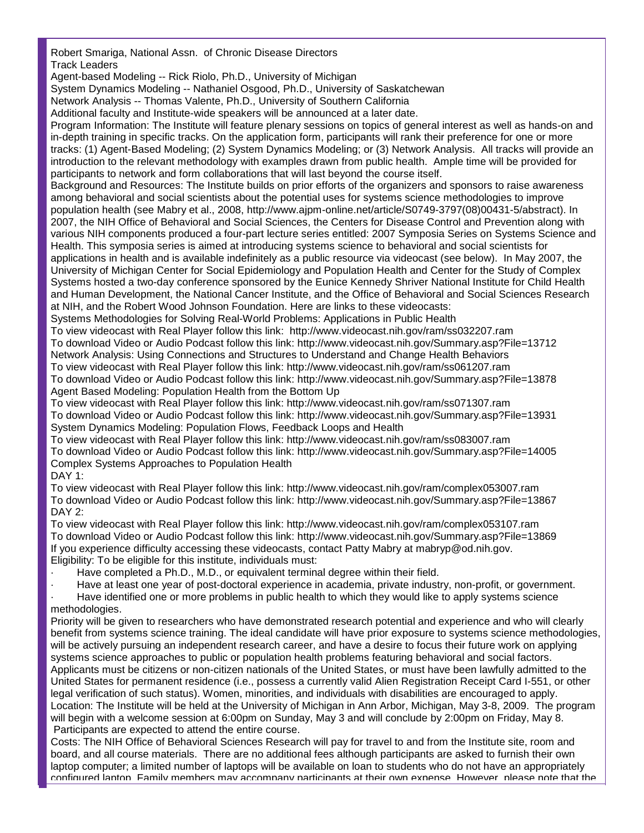Robert Smariga, National Assn. of Chronic Disease Directors Track Leaders

Agent-based Modeling -- Rick Riolo, Ph.D., University of Michigan

System Dynamics Modeling -- Nathaniel Osgood, Ph.D., University of Saskatchewan

Network Analysis -- Thomas Valente, Ph.D., University of Southern California

Additional faculty and Institute-wide speakers will be announced at a later date.

Program Information: The Institute will feature plenary sessions on topics of general interest as well as hands-on and in-depth training in specific tracks. On the application form, participants will rank their preference for one or more tracks: (1) Agent-Based Modeling; (2) System Dynamics Modeling; or (3) Network Analysis. All tracks will provide an introduction to the relevant methodology with examples drawn from public health. Ample time will be provided for participants to network and form collaborations that will last beyond the course itself.

Background and Resources: The Institute builds on prior efforts of the organizers and sponsors to raise awareness among behavioral and social scientists about the potential uses for systems science methodologies to improve population health (see Mabry et al., 2008, http://www.ajpm-online.net/article/S0749-3797(08)00431-5/abstract). In 2007, the NIH Office of Behavioral and Social Sciences, the Centers for Disease Control and Prevention along with various NIH components produced a four-part lecture series entitled: 2007 Symposia Series on Systems Science and Health. This symposia series is aimed at introducing systems science to behavioral and social scientists for applications in health and is available indefinitely as a public resource via videocast (see below). In May 2007, the University of Michigan Center for Social Epidemiology and Population Health and Center for the Study of Complex Systems hosted a two-day conference sponsored by the Eunice Kennedy Shriver National Institute for Child Health and Human Development, the National Cancer Institute, and the Office of Behavioral and Social Sciences Research at NIH, and the Robert Wood Johnson Foundation. Here are links to these videocasts:

Systems Methodologies for Solving Real-World Problems: Applications in Public Health

To view videocast with Real Player follow this link: http://www.videocast.nih.gov/ram/ss032207.ram To download Video or Audio Podcast follow this link: http://www.videocast.nih.gov/Summary.asp?File=13712 Network Analysis: Using Connections and Structures to Understand and Change Health Behaviors To view videocast with Real Player follow this link: http://www.videocast.nih.gov/ram/ss061207.ram To download Video or Audio Podcast follow this link: http://www.videocast.nih.gov/Summary.asp?File=13878 Agent Based Modeling: Population Health from the Bottom Up

To view videocast with Real Player follow this link: http://www.videocast.nih.gov/ram/ss071307.ram To download Video or Audio Podcast follow this link: http://www.videocast.nih.gov/Summary.asp?File=13931 System Dynamics Modeling: Population Flows, Feedback Loops and Health

To view videocast with Real Player follow this link: http://www.videocast.nih.gov/ram/ss083007.ram To download Video or Audio Podcast follow this link: http://www.videocast.nih.gov/Summary.asp?File=14005 Complex Systems Approaches to Population Health DAY 1:

To view videocast with Real Player follow this link: http://www.videocast.nih.gov/ram/complex053007.ram To download Video or Audio Podcast follow this link: http://www.videocast.nih.gov/Summary.asp?File=13867 DAY 2:

To view videocast with Real Player follow this link: http://www.videocast.nih.gov/ram/complex053107.ram To download Video or Audio Podcast follow this link: http://www.videocast.nih.gov/Summary.asp?File=13869 If you experience difficulty accessing these videocasts, contact Patty Mabry at mabryp@od.nih.gov. Eligibility: To be eligible for this institute, individuals must:

Have completed a Ph.D., M.D., or equivalent terminal degree within their field.

Have at least one year of post-doctoral experience in academia, private industry, non-profit, or government. Have identified one or more problems in public health to which they would like to apply systems science methodologies.

Priority will be given to researchers who have demonstrated research potential and experience and who will clearly benefit from systems science training. The ideal candidate will have prior exposure to systems science methodologies, will be actively pursuing an independent research career, and have a desire to focus their future work on applying systems science approaches to public or population health problems featuring behavioral and social factors. Applicants must be citizens or non-citizen nationals of the United States, or must have been lawfully admitted to the United States for permanent residence (i.e., possess a currently valid Alien Registration Receipt Card I-551, or other legal verification of such status). Women, minorities, and individuals with disabilities are encouraged to apply. Location: The Institute will be held at the University of Michigan in Ann Arbor, Michigan, May 3-8, 2009. The program will begin with a welcome session at 6:00pm on Sunday, May 3 and will conclude by 2:00pm on Friday, May 8. Participants are expected to attend the entire course.

Costs: The NIH Office of Behavioral Sciences Research will pay for travel to and from the Institute site, room and board, and all course materials. There are no additional fees although participants are asked to furnish their own laptop computer; a limited number of laptops will be available on loan to students who do not have an appropriately configured laptop. Family members may accompany participants at their own expense. However, please note that the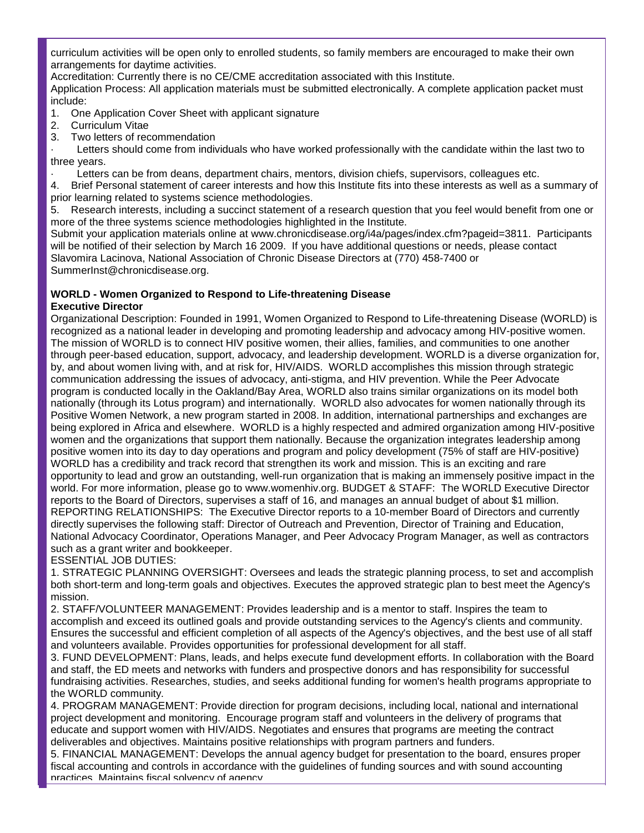curriculum activities will be open only to enrolled students, so family members are encouraged to make their own arrangements for daytime activities.

Accreditation: Currently there is no CE/CME accreditation associated with this Institute.

Application Process: All application materials must be submitted electronically. A complete application packet must include:

1. One Application Cover Sheet with applicant signature

- 2. Curriculum Vitae
- 3. Two letters of recommendation

Letters should come from individuals who have worked professionally with the candidate within the last two to three years.

Letters can be from deans, department chairs, mentors, division chiefs, supervisors, colleagues etc.

4. Brief Personal statement of career interests and how this Institute fits into these interests as well as a summary of prior learning related to systems science methodologies.

5. Research interests, including a succinct statement of a research question that you feel would benefit from one or more of the three systems science methodologies highlighted in the Institute.

Submit your application materials online at www.chronicdisease.org/i4a/pages/index.cfm?pageid=3811. Participants will be notified of their selection by March 16 2009. If you have additional questions or needs, please contact Slavomira Lacinova, National Association of Chronic Disease Directors at (770) 458-7400 or SummerInst@chronicdisease.org.

#### **WORLD - Women Organized to Respond to Life-threatening Disease Executive Director**

Organizational Description: Founded in 1991, Women Organized to Respond to Life-threatening Disease (WORLD) is recognized as a national leader in developing and promoting leadership and advocacy among HIV-positive women. The mission of WORLD is to connect HIV positive women, their allies, families, and communities to one another through peer-based education, support, advocacy, and leadership development. WORLD is a diverse organization for, by, and about women living with, and at risk for, HIV/AIDS. WORLD accomplishes this mission through strategic communication addressing the issues of advocacy, anti-stigma, and HIV prevention. While the Peer Advocate program is conducted locally in the Oakland/Bay Area, WORLD also trains similar organizations on its model both nationally (through its Lotus program) and internationally. WORLD also advocates for women nationally through its Positive Women Network, a new program started in 2008. In addition, international partnerships and exchanges are being explored in Africa and elsewhere. WORLD is a highly respected and admired organization among HIV-positive women and the organizations that support them nationally. Because the organization integrates leadership among positive women into its day to day operations and program and policy development (75% of staff are HIV-positive) WORLD has a credibility and track record that strengthen its work and mission. This is an exciting and rare opportunity to lead and grow an outstanding, well-run organization that is making an immensely positive impact in the world. For more information, please go to www.womenhiv.org. BUDGET & STAFF: The WORLD Executive Director reports to the Board of Directors, supervises a staff of 16, and manages an annual budget of about \$1 million. REPORTING RELATIONSHIPS: The Executive Director reports to a 10-member Board of Directors and currently directly supervises the following staff: Director of Outreach and Prevention, Director of Training and Education, National Advocacy Coordinator, Operations Manager, and Peer Advocacy Program Manager, as well as contractors such as a grant writer and bookkeeper.

ESSENTIAL JOB DUTIES:

1. STRATEGIC PLANNING OVERSIGHT: Oversees and leads the strategic planning process, to set and accomplish both short-term and long-term goals and objectives. Executes the approved strategic plan to best meet the Agency's mission.

2. STAFF/VOLUNTEER MANAGEMENT: Provides leadership and is a mentor to staff. Inspires the team to accomplish and exceed its outlined goals and provide outstanding services to the Agency's clients and community. Ensures the successful and efficient completion of all aspects of the Agency's objectives, and the best use of all staff and volunteers available. Provides opportunities for professional development for all staff.

3. FUND DEVELOPMENT: Plans, leads, and helps execute fund development efforts. In collaboration with the Board and staff, the ED meets and networks with funders and prospective donors and has responsibility for successful fundraising activities. Researches, studies, and seeks additional funding for women's health programs appropriate to the WORLD community.

4. PROGRAM MANAGEMENT: Provide direction for program decisions, including local, national and international project development and monitoring. Encourage program staff and volunteers in the delivery of programs that educate and support women with HIV/AIDS. Negotiates and ensures that programs are meeting the contract deliverables and objectives. Maintains positive relationships with program partners and funders.

5. FINANCIAL MANAGEMENT: Develops the annual agency budget for presentation to the board, ensures proper fiscal accounting and controls in accordance with the guidelines of funding sources and with sound accounting practices. Maintains fiscal solvency of agency.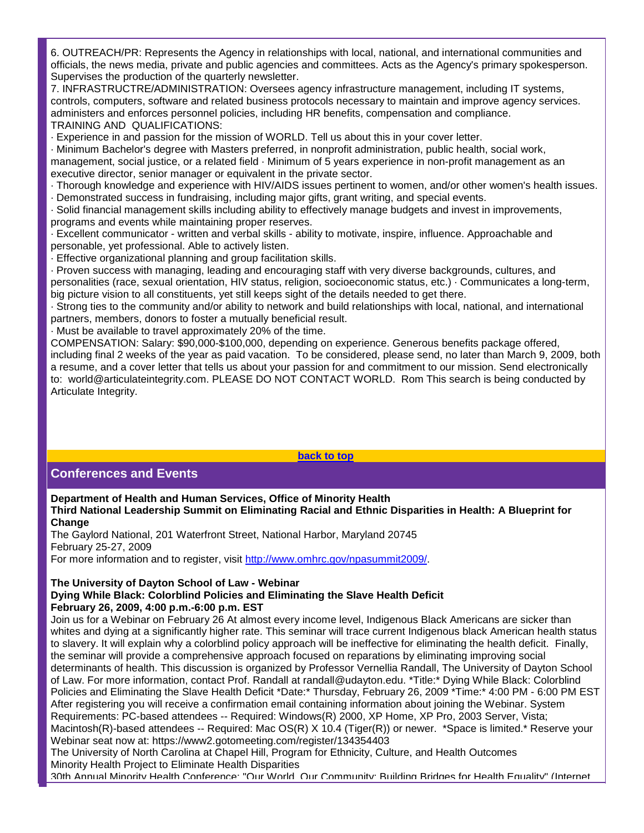6. OUTREACH/PR: Represents the Agency in relationships with local, national, and international communities and officials, the news media, private and public agencies and committees. Acts as the Agency's primary spokesperson. Supervises the production of the quarterly newsletter.

7. INFRASTRUCTRE/ADMINISTRATION: Oversees agency infrastructure management, including IT systems, controls, computers, software and related business protocols necessary to maintain and improve agency services. administers and enforces personnel policies, including HR benefits, compensation and compliance. TRAINING AND QUALIFICATIONS:

· Experience in and passion for the mission of WORLD. Tell us about this in your cover letter.

· Minimum Bachelor's degree with Masters preferred, in nonprofit administration, public health, social work, management, social justice, or a related field · Minimum of 5 years experience in non-profit management as an executive director, senior manager or equivalent in the private sector.

· Thorough knowledge and experience with HIV/AIDS issues pertinent to women, and/or other women's health issues. · Demonstrated success in fundraising, including major gifts, grant writing, and special events.

· Solid financial management skills including ability to effectively manage budgets and invest in improvements, programs and events while maintaining proper reserves.

· Excellent communicator - written and verbal skills - ability to motivate, inspire, influence. Approachable and personable, yet professional. Able to actively listen.

· Effective organizational planning and group facilitation skills.

· Proven success with managing, leading and encouraging staff with very diverse backgrounds, cultures, and personalities (race, sexual orientation, HIV status, religion, socioeconomic status, etc.) · Communicates a long-term, big picture vision to all constituents, yet still keeps sight of the details needed to get there.

· Strong ties to the community and/or ability to network and build relationships with local, national, and international partners, members, donors to foster a mutually beneficial result.

· Must be available to travel approximately 20% of the time.

COMPENSATION: Salary: \$90,000-\$100,000, depending on experience. Generous benefits package offered, including final 2 weeks of the year as paid vacation. To be considered, please send, no later than March 9, 2009, both a resume, and a cover letter that tells us about your passion for and commitment to our mission. Send electronically to: world@articulateintegrity.com. PLEASE DO NOT CONTACT WORLD. Rom This search is being conducted by Articulate Integrity.

**[back to top](#page-0-0)**

# **Conferences and Events**

**Department of Health and Human Services, Office of Minority Health**

**Third National Leadership Summit on Eliminating Racial and Ethnic Disparities in Health: A Blueprint for Change**

The Gaylord National, 201 Waterfront Street, National Harbor, Maryland 20745 February 25-27, 2009 For more information and to register, visit [http://www.omhrc.gov/npasummit2009/.](http://rs6.net/tn.jsp?et=1102456760593&e=001atQw5QrTyANxsBkTJcfaoR9RIv3n-61XT-x8EwkVLw3R5pm3B0BbV86Lw5HNuIKmsHfrqUdhlXhvPH0vD1DqrfFvL4t02UjsynvwXzTSshi4jY4STQHqnqR2d6dcbQsL)

### **The University of Dayton School of Law - Webinar**

#### **Dying While Black: Colorblind Policies and Eliminating the Slave Health Deficit February 26, 2009, 4:00 p.m.-6:00 p.m. EST**

Join us for a Webinar on February 26 At almost every income level, Indigenous Black Americans are sicker than whites and dying at a significantly higher rate. This seminar will trace current Indigenous black American health status to slavery. It will explain why a colorblind policy approach will be ineffective for eliminating the health deficit. Finally, the seminar will provide a comprehensive approach focused on reparations by eliminating improving social determinants of health. This discussion is organized by Professor Vernellia Randall, The University of Dayton School of Law. For more information, contact Prof. Randall at randall@udayton.edu. \*Title:\* Dying While Black: Colorblind Policies and Eliminating the Slave Health Deficit \*Date:\* Thursday, February 26, 2009 \*Time:\* 4:00 PM - 6:00 PM EST After registering you will receive a confirmation email containing information about joining the Webinar. System Requirements: PC-based attendees -- Required: Windows(R) 2000, XP Home, XP Pro, 2003 Server, Vista; Macintosh(R)-based attendees -- Required: Mac OS(R) X 10.4 (Tiger(R)) or newer. \*Space is limited.\* Reserve your Webinar seat now at: https://www2.gotomeeting.com/register/134354403

The University of North Carolina at Chapel Hill, Program for Ethnicity, Culture, and Health Outcomes Minority Health Project to Eliminate Health Disparities 30th Annual Minority Health Conference: "Our World, Our Community: Building Bridges for Health Equality" (Internet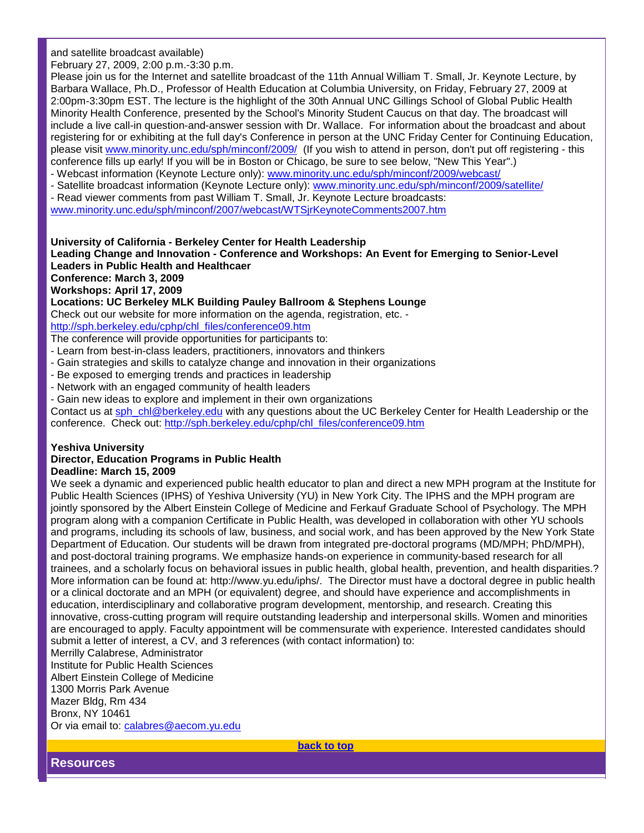and satellite broadcast available)

February 27, 2009, 2:00 p.m.-3:30 p.m.

Please join us for the Internet and satellite broadcast of the 11th Annual William T. Small, Jr. Keynote Lecture, by Barbara Wallace, Ph.D., Professor of Health Education at Columbia University, on Friday, February 27, 2009 at 2:00pm-3:30pm EST. The lecture is the highlight of the 30th Annual UNC Gillings School of Global Public Health Minority Health Conference, presented by the School's Minority Student Caucus on that day. The broadcast will include a live call-in question-and-answer session with Dr. Wallace. For information about the broadcast and about registering for or exhibiting at the full day's Conference in person at the UNC Friday Center for Continuing Education, please visit [www.minority.unc.edu/sph/minconf/2009/](http://rs6.net/tn.jsp?et=1102456760593&e=001atQw5QrTyAOH8RZmxp6R_-IVNbmXUlU2mrxw94AnHyFD0L7WOsvMEdSwfzapT2-xF2fRDIUPb4eL-BoU7EIVFHGbIyERMIDO5659_enZ1NrbVY88pDlKszDzON9zmTh65iKgMk9LLEip_w3gO2KlAw==) (If you wish to attend in person, don't put off registering - this conference fills up early! If you will be in Boston or Chicago, be sure to see below, "New This Year".)

- Webcast information (Keynote Lecture only): [www.minority.unc.edu/sph/minconf/2009/webcast/](http://rs6.net/tn.jsp?et=1102456760593&e=001atQw5QrTyAOY45v9YYrNN04xtWoX9fn87wgoB0zzWnOCGc8vPtv8n0BleBarW0Ir406APbkKCh_9n6hXiRd6mfR4eZYGLSOtwlqJBkiTOQE5g_0PyVnUaXcw_89ovPx9ObAI4lD-oOsRQJlHC6A7eDXqFOURj-sk)
- Satellite broadcast information (Keynote Lecture only): [www.minority.unc.edu/sph/minconf/2009/satellite/](http://rs6.net/tn.jsp?et=1102456760593&e=001atQw5QrTyAOEJBsmizy_17lwF5fJV5Hh-ta_bh7s2S2UOLGGseFdpFUCdYC_zYqCFaBQrlSSIghNrzl2hEyjhMh6tAOGvhVUci4spXLBFeEyF-YMP5HahL2jFOkadFwd_fPgiiaxXSe7HnBDd-AG6UFoa840M_Sn)
- Read viewer comments from past William T. Small, Jr. Keynote Lecture broadcasts:

[www.minority.unc.edu/sph/minconf/2007/webcast/WTSjrKeynoteComments2007.htm](http://rs6.net/tn.jsp?et=1102456760593&e=001atQw5QrTyAOHYe5MbI-MLnsrjguvKL4IXRjdgVqanyv2uYfJ8ADol2cSRFZXHVf1gTRSJH4IDW0PKAnf6wfRVSdgagZB6m8Cba8NpL3avKWMXYdcRauqHtso0dceFWpVVZluhS_aGnodZpCv3CtcXtLH7gucuRJWCyijuAaVl_g32fhgA5vhhzA8nDc8-gfRR3a5-PJJDIY=)

### **University of California - Berkeley Center for Health Leadership**

**Leading Change and Innovation - Conference and Workshops: An Event for Emerging to Senior-Level Leaders in Public Health and Healthcaer**

**Conference: March 3, 2009**

**Workshops: April 17, 2009**

**Locations: UC Berkeley MLK Building Pauley Ballroom & Stephens Lounge**

Check out our website for more information on the agenda, registration, etc. -

[http://sph.berkeley.edu/cphp/chl\\_files/conference09.htm](http://rs6.net/tn.jsp?et=1102456760593&e=001atQw5QrTyANbEj0Uoq5TeO71D1iDauyyGsKYOcULJhALKA0bGwfr1qUcDxnHSFWLbgo_m-ZWv7EJmRxu3YLzgdzc08UCzJfi0AM6d28tyP1wuUkScllOmgQlxtKthjFmmLqRzliks-jUtwgqMVvf0uyXraUHgtGS)

The conference will provide opportunities for participants to:

- Learn from best-in-class leaders, practitioners, innovators and thinkers
- Gain strategies and skills to catalyze change and innovation in their organizations
- Be exposed to emerging trends and practices in leadership
- Network with an engaged community of health leaders
- Gain new ideas to explore and implement in their own organizations

Contact us at [sph\\_chl@berkeley.edu](mailto:sph_chl@berkeley.edu) with any questions about the UC Berkeley Center for Health Leadership or the conference. Check out: [http://sph.berkeley.edu/cphp/chl\\_files/conference09.htm](http://rs6.net/tn.jsp?et=1102456760593&e=001atQw5QrTyANbEj0Uoq5TeO71D1iDauyyGsKYOcULJhALKA0bGwfr1qUcDxnHSFWLbgo_m-ZWv7EJmRxu3YLzgdzc08UCzJfi0AM6d28tyP1wuUkScllOmgQlxtKthjFmmLqRzliks-jUtwgqMVvf0uyXraUHgtGS)

# **Yeshiva University**

#### **Director, Education Programs in Public Health Deadline: March 15, 2009**

We seek a dynamic and experienced public health educator to plan and direct a new MPH program at the Institute for Public Health Sciences (IPHS) of Yeshiva University (YU) in New York City. The IPHS and the MPH program are jointly sponsored by the Albert Einstein College of Medicine and Ferkauf Graduate School of Psychology. The MPH program along with a companion Certificate in Public Health, was developed in collaboration with other YU schools and programs, including its schools of law, business, and social work, and has been approved by the New York State Department of Education. Our students will be drawn from integrated pre-doctoral programs (MD/MPH; PhD/MPH), and post-doctoral training programs. We emphasize hands-on experience in community-based research for all trainees, and a scholarly focus on behavioral issues in public health, global health, prevention, and health disparities.? More information can be found at: http://www.yu.edu/iphs/. The Director must have a doctoral degree in public health or a clinical doctorate and an MPH (or equivalent) degree, and should have experience and accomplishments in education, interdisciplinary and collaborative program development, mentorship, and research. Creating this innovative, cross-cutting program will require outstanding leadership and interpersonal skills. Women and minorities are encouraged to apply. Faculty appointment will be commensurate with experience. Interested candidates should submit a letter of interest, a CV, and 3 references (with contact information) to:

Merrilly Calabrese, Administrator Institute for Public Health Sciences Albert Einstein College of Medicine 1300 Morris Park Avenue Mazer Bldg, Rm 434 Bronx, NY 10461 Or via email to: [calabres@aecom.yu.edu](mailto:calabres@aecom.yu.edu)

**[back to top](#page-0-0)**

**Resources**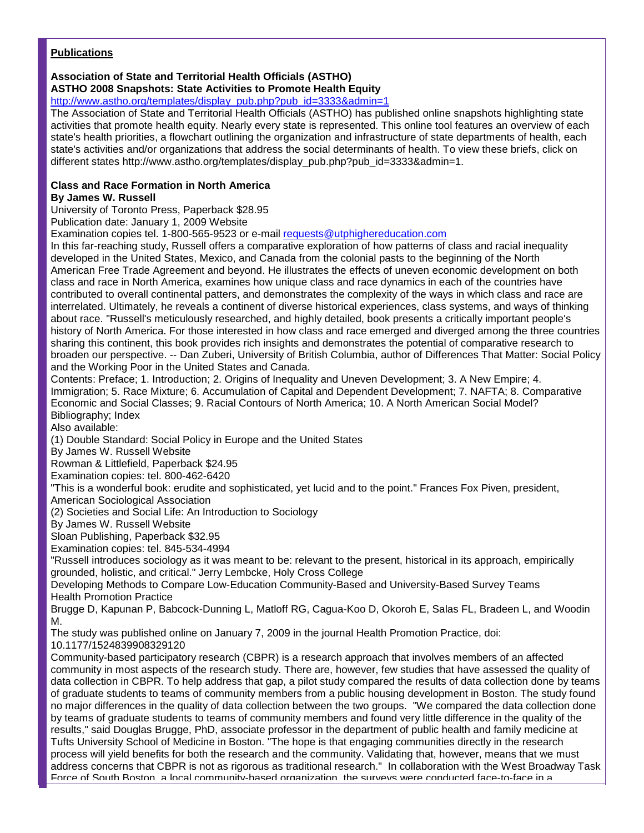### **Publications**

# **Association of State and Territorial Health Officials (ASTHO)**

**ASTHO 2008 Snapshots: State Activities to Promote Health Equity**

# [http://www.astho.org/templates/display\\_pub.php?pub\\_id=3333&admin=1](http://rs6.net/tn.jsp?et=1102456760593&e=001atQw5QrTyAPoNFn5YFeM8PJbwLJCE4dLJmAGmDXxG4Shs1PFSr5EZIra17zzsFdriH0FHwRRUSY8QxzEJShEbJg1r-JZ1EM0UBSha2Xbkfng9FyZQPmsdSACcnu4_BhbyUC6DacjKhdnICW_vDDHk8tS4zZESWr7vu9Jj7iMWSKAuwjSd7Zqeg==)

The Association of State and Territorial Health Officials (ASTHO) has published online snapshots highlighting state activities that promote health equity. Nearly every state is represented. This online tool features an overview of each state's health priorities, a flowchart outlining the organization and infrastructure of state departments of health, each state's activities and/or organizations that address the social determinants of health. To view these briefs, click on different states http://www.astho.org/templates/display\_pub.php?pub\_id=3333&admin=1.

#### **Class and Race Formation in North America By James W. Russell**

University of Toronto Press, Paperback \$28.95

Publication date: January 1, 2009 Website

Examination copies tel. 1-800-565-9523 or e-mail [requests@utphighereducation.com](mailto:requests@utphighereducation.com)

In this far-reaching study, Russell offers a comparative exploration of how patterns of class and racial inequality developed in the United States, Mexico, and Canada from the colonial pasts to the beginning of the North American Free Trade Agreement and beyond. He illustrates the effects of uneven economic development on both class and race in North America, examines how unique class and race dynamics in each of the countries have contributed to overall continental patters, and demonstrates the complexity of the ways in which class and race are interrelated. Ultimately, he reveals a continent of diverse historical experiences, class systems, and ways of thinking about race. "Russell's meticulously researched, and highly detailed, book presents a critically important people's history of North America. For those interested in how class and race emerged and diverged among the three countries sharing this continent, this book provides rich insights and demonstrates the potential of comparative research to broaden our perspective. -- Dan Zuberi, University of British Columbia, author of Differences That Matter: Social Policy and the Working Poor in the United States and Canada.

Contents: Preface; 1. Introduction; 2. Origins of Inequality and Uneven Development; 3. A New Empire; 4. Immigration; 5. Race Mixture; 6. Accumulation of Capital and Dependent Development; 7. NAFTA; 8. Comparative Economic and Social Classes; 9. Racial Contours of North America; 10. A North American Social Model? Bibliography; Index

Also available:

(1) Double Standard: Social Policy in Europe and the United States

By James W. Russell Website

Rowman & Littlefield, Paperback \$24.95

Examination copies: tel. 800-462-6420

"This is a wonderful book: erudite and sophisticated, yet lucid and to the point." Frances Fox Piven, president, American Sociological Association

(2) Societies and Social Life: An Introduction to Sociology

By James W. Russell Website

Sloan Publishing, Paperback \$32.95

Examination copies: tel. 845-534-4994

"Russell introduces sociology as it was meant to be: relevant to the present, historical in its approach, empirically grounded, holistic, and critical." Jerry Lembcke, Holy Cross College

Developing Methods to Compare Low-Education Community-Based and University-Based Survey Teams Health Promotion Practice

Brugge D, Kapunan P, Babcock-Dunning L, Matloff RG, Cagua-Koo D, Okoroh E, Salas FL, Bradeen L, and Woodin M.

The study was published online on January 7, 2009 in the journal Health Promotion Practice, doi:

10.1177/1524839908329120

Community-based participatory research (CBPR) is a research approach that involves members of an affected community in most aspects of the research study. There are, however, few studies that have assessed the quality of data collection in CBPR. To help address that gap, a pilot study compared the results of data collection done by teams of graduate students to teams of community members from a public housing development in Boston. The study found no major differences in the quality of data collection between the two groups. "We compared the data collection done by teams of graduate students to teams of community members and found very little difference in the quality of the results," said Douglas Brugge, PhD, associate professor in the department of public health and family medicine at Tufts University School of Medicine in Boston. "The hope is that engaging communities directly in the research process will yield benefits for both the research and the community. Validating that, however, means that we must address concerns that CBPR is not as rigorous as traditional research." In collaboration with the West Broadway Task Force of South Boston, a local community-based organization, the surveys were conducted face-to-face in a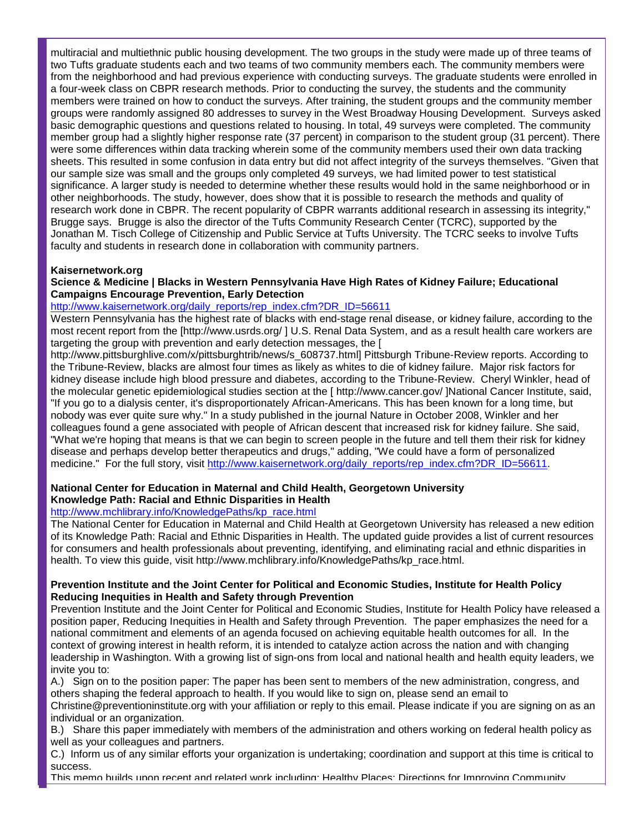multiracial and multiethnic public housing development. The two groups in the study were made up of three teams of two Tufts graduate students each and two teams of two community members each. The community members were from the neighborhood and had previous experience with conducting surveys. The graduate students were enrolled in a four-week class on CBPR research methods. Prior to conducting the survey, the students and the community members were trained on how to conduct the surveys. After training, the student groups and the community member groups were randomly assigned 80 addresses to survey in the West Broadway Housing Development. Surveys asked basic demographic questions and questions related to housing. In total, 49 surveys were completed. The community member group had a slightly higher response rate (37 percent) in comparison to the student group (31 percent). There were some differences within data tracking wherein some of the community members used their own data tracking sheets. This resulted in some confusion in data entry but did not affect integrity of the surveys themselves. "Given that our sample size was small and the groups only completed 49 surveys, we had limited power to test statistical significance. A larger study is needed to determine whether these results would hold in the same neighborhood or in other neighborhoods. The study, however, does show that it is possible to research the methods and quality of research work done in CBPR. The recent popularity of CBPR warrants additional research in assessing its integrity," Brugge says. Brugge is also the director of the Tufts Community Research Center (TCRC), supported by the Jonathan M. Tisch College of Citizenship and Public Service at Tufts University. The TCRC seeks to involve Tufts faculty and students in research done in collaboration with community partners.

# **Kaisernetwork.org**

### **Science & Medicine | Blacks in Western Pennsylvania Have High Rates of Kidney Failure; Educational Campaigns Encourage Prevention, Early Detection**

#### [http://www.kaisernetwork.org/daily\\_reports/rep\\_index.cfm?DR\\_ID=56611](http://rs6.net/tn.jsp?et=1102456760593&e=001atQw5QrTyANIIS84Ev6mogWAauEzP-37_swF0gmRvubDoTuWKG7iskQJhvP-441j43OmPUXq3yuWNzGCN4F53UaEG_ntuZ5WG2mk3qaTUaKZ54dMdwHOsdd1CIV1QA9mJqsQgU7BZrVYLO9gpXrLlm24hVG9CG2-t7mTfS09jhJUeNaRECA9_Q==)

Western Pennsylvania has the highest rate of blacks with end-stage renal disease, or kidney failure, according to the most recent report from the [http://www.usrds.org/ ] U.S. Renal Data System, and as a result health care workers are targeting the group with prevention and early detection messages, the [

http://www.pittsburghlive.com/x/pittsburghtrib/news/s\_608737.html] Pittsburgh Tribune-Review reports. According to the Tribune-Review, blacks are almost four times as likely as whites to die of kidney failure. Major risk factors for kidney disease include high blood pressure and diabetes, according to the Tribune-Review. Cheryl Winkler, head of the molecular genetic epidemiological studies section at the [ http://www.cancer.gov/ ]National Cancer Institute, said, "If you go to a dialysis center, it's disproportionately African-Americans. This has been known for a long time, but nobody was ever quite sure why." In a study published in the journal Nature in October 2008, Winkler and her colleagues found a gene associated with people of African descent that increased risk for kidney failure. She said, "What we're hoping that means is that we can begin to screen people in the future and tell them their risk for kidney disease and perhaps develop better therapeutics and drugs," adding, "We could have a form of personalized medicine." For the full story, visit [http://www.kaisernetwork.org/daily\\_reports/rep\\_index.cfm?DR\\_ID=56611.](http://rs6.net/tn.jsp?et=1102456760593&e=001atQw5QrTyANIIS84Ev6mogWAauEzP-37_swF0gmRvubDoTuWKG7iskQJhvP-441j43OmPUXq3yuWNzGCN4F53UaEG_ntuZ5WG2mk3qaTUaKZ54dMdwHOsdd1CIV1QA9mJqsQgU7BZrVYLO9gpXrLlm24hVG9CG2-t7mTfS09jhJUeNaRECA9_Q==)

#### **National Center for Education in Maternal and Child Health, Georgetown University Knowledge Path: Racial and Ethnic Disparities in Health**

# [http://www.mchlibrary.info/KnowledgePaths/kp\\_race.html](http://rs6.net/tn.jsp?et=1102456760593&e=001atQw5QrTyAMppEhxJqQQswfBurQJj6sLAfZbN64xTJHTe35QIqdrOeXgYsE6NTYYaP8LGzBi4W4SYwvV7R_SLCiNyFnr0rq9fbbT6muR7Z2XqVOtGFSN99WK-o8iW6nknu9ampV3BeFyOabu7G15NQ==)

The National Center for Education in Maternal and Child Health at Georgetown University has released a new edition of its Knowledge Path: Racial and Ethnic Disparities in Health. The updated guide provides a list of current resources for consumers and health professionals about preventing, identifying, and eliminating racial and ethnic disparities in health. To view this guide, visit http://www.mchlibrary.info/KnowledgePaths/kp\_race.html.

### **Prevention Institute and the Joint Center for Political and Economic Studies, Institute for Health Policy Reducing Inequities in Health and Safety through Prevention**

Prevention Institute and the Joint Center for Political and Economic Studies, Institute for Health Policy have released a position paper, Reducing Inequities in Health and Safety through Prevention. The paper emphasizes the need for a national commitment and elements of an agenda focused on achieving equitable health outcomes for all. In the context of growing interest in health reform, it is intended to catalyze action across the nation and with changing leadership in Washington. With a growing list of sign-ons from local and national health and health equity leaders, we invite you to:

A.) Sign on to the position paper: The paper has been sent to members of the new administration, congress, and others shaping the federal approach to health. If you would like to sign on, please send an email to Christine@preventioninstitute.org with your affiliation or reply to this email. Please indicate if you are signing on as an individual or an organization.

B.) Share this paper immediately with members of the administration and others working on federal health policy as well as your colleagues and partners.

C.) Inform us of any similar efforts your organization is undertaking; coordination and support at this time is critical to success.

This memo builds upon recent and related work including: Healthy Places: Directions for Improving Community,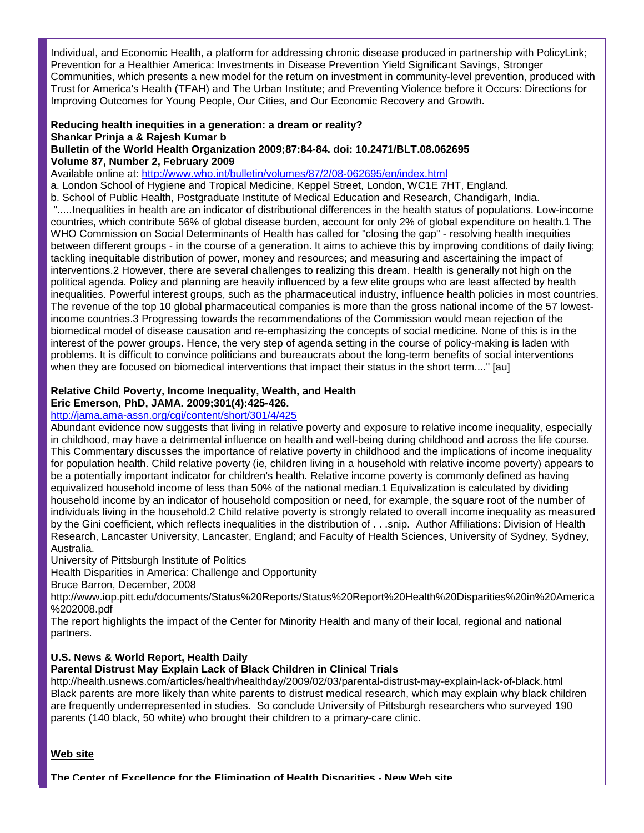Individual, and Economic Health, a platform for addressing chronic disease produced in partnership with PolicyLink; Prevention for a Healthier America: Investments in Disease Prevention Yield Significant Savings, Stronger Communities, which presents a new model for the return on investment in community-level prevention, produced with Trust for America's Health (TFAH) and The Urban Institute; and Preventing Violence before it Occurs: Directions for Improving Outcomes for Young People, Our Cities, and Our Economic Recovery and Growth.

#### **Reducing health inequities in a generation: a dream or reality? Shankar Prinja a & Rajesh Kumar b Bulletin of the World Health Organization 2009;87:84-84. doi: 10.2471/BLT.08.062695 Volume 87, Number 2, February 2009**

Available online at: [http://www.who.int/bulletin/volumes/87/2/08-062695/en/index.html](http://rs6.net/tn.jsp?et=1102456760593&e=001atQw5QrTyAOFNGk1qVR1tgaK_jA7vUCXrgNAJC4vcH3qAoip1xhHRV8_kXd_XgjuE8TAFza5t3QAFZMbMzm41fl5jyAb2mHswQmTYyrSpWAetQWoOuTYkRMTGJd2_jfdKhsHBXo6_alSMhy5hj_Ftc5VxrX-waSu4tI6Q2ngmiAOAAvuE3fkiw==)

a. London School of Hygiene and Tropical Medicine, Keppel Street, London, WC1E 7HT, England.

b. School of Public Health, Postgraduate Institute of Medical Education and Research, Chandigarh, India. ".....Inequalities in health are an indicator of distributional differences in the health status of populations. Low-income countries, which contribute 56% of global disease burden, account for only 2% of global expenditure on health.1 The WHO Commission on Social Determinants of Health has called for "closing the gap" - resolving health inequities between different groups - in the course of a generation. It aims to achieve this by improving conditions of daily living; tackling inequitable distribution of power, money and resources; and measuring and ascertaining the impact of interventions.2 However, there are several challenges to realizing this dream. Health is generally not high on the political agenda. Policy and planning are heavily influenced by a few elite groups who are least affected by health inequalities. Powerful interest groups, such as the pharmaceutical industry, influence health policies in most countries. The revenue of the top 10 global pharmaceutical companies is more than the gross national income of the 57 lowestincome countries.3 Progressing towards the recommendations of the Commission would mean rejection of the biomedical model of disease causation and re-emphasizing the concepts of social medicine. None of this is in the interest of the power groups. Hence, the very step of agenda setting in the course of policy-making is laden with problems. It is difficult to convince politicians and bureaucrats about the long-term benefits of social interventions when they are focused on biomedical interventions that impact their status in the short term...." [au]

# **Relative Child Poverty, Income Inequality, Wealth, and Health**

**Eric Emerson, PhD, JAMA. 2009;301(4):425-426.** 

# [http://jama.ama-assn.org/cgi/content/short/301/4/425](http://rs6.net/tn.jsp?et=1102456760593&e=001atQw5QrTyAPWjAEi8HFcp9o3Y2pvlH8ceCpzsRyDGnkSv2ujG1WiBjcjrWEmbbC1TMIFAquDqmoeb9j6Wq58_XPjz42zeWFjQK4tKUOzD0pZuvysKqjH8eohGtRLj8hCfQnCdUR_cpy-UCOWVis6pyYPHSPTdkVm)

Abundant evidence now suggests that living in relative poverty and exposure to relative income inequality, especially in childhood, may have a detrimental influence on health and well-being during childhood and across the life course. This Commentary discusses the importance of relative poverty in childhood and the implications of income inequality for population health. Child relative poverty (ie, children living in a household with relative income poverty) appears to be a potentially important indicator for children's health. Relative income poverty is commonly defined as having equivalized household income of less than 50% of the national median.1 Equivalization is calculated by dividing household income by an indicator of household composition or need, for example, the square root of the number of individuals living in the household.2 Child relative poverty is strongly related to overall income inequality as measured by the Gini coefficient, which reflects inequalities in the distribution of . . .snip. Author Affiliations: Division of Health Research, Lancaster University, Lancaster, England; and Faculty of Health Sciences, University of Sydney, Sydney, Australia.

University of Pittsburgh Institute of Politics

Health Disparities in America: Challenge and Opportunity

Bruce Barron, December, 2008

http://www.iop.pitt.edu/documents/Status%20Reports/Status%20Report%20Health%20Disparities%20in%20America %202008.pdf

The report highlights the impact of the Center for Minority Health and many of their local, regional and national partners.

# **U.S. News & World Report, Health Daily**

# **Parental Distrust May Explain Lack of Black Children in Clinical Trials**

http://health.usnews.com/articles/health/healthday/2009/02/03/parental-distrust-may-explain-lack-of-black.html Black parents are more likely than white parents to distrust medical research, which may explain why black children are frequently underrepresented in studies. So conclude University of Pittsburgh researchers who surveyed 190 parents (140 black, 50 white) who brought their children to a primary-care clinic.

# **Web site**

**The Center of Excellence for the Elimination of Health Disparities - New Web site**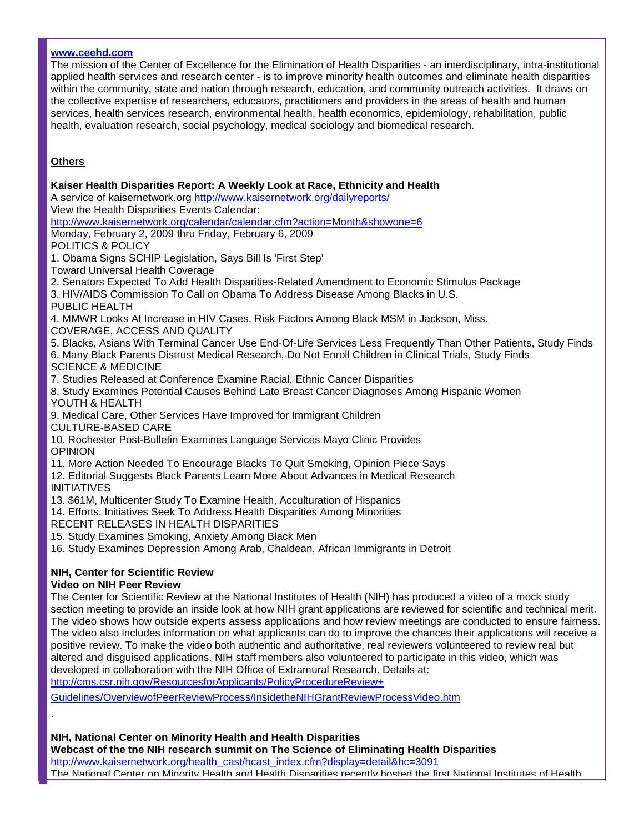### **[www.ceehd.com](http://rs6.net/tn.jsp?et=1102456760593&e=001atQw5QrTyAPjgvvl-sT4N5vknC9a73WHwYmVkaJG36j2zLTNGZFZyxgxMx_o2y7E6ubonGQKeQkrGTITqmxCvjxi-Xvx0_lorz_EFbBFqTs=)**

The mission of the Center of Excellence for the Elimination of Health Disparities - an interdisciplinary, intra-institutional applied health services and research center - is to improve minority health outcomes and eliminate health disparities within the community, state and nation through research, education, and community outreach activities. It draws on the collective expertise of researchers, educators, practitioners and providers in the areas of health and human services, health services research, environmental health, health economics, epidemiology, rehabilitation, public health, evaluation research, social psychology, medical sociology and biomedical research.

# **Others**

.

**Kaiser Health Disparities Report: A Weekly Look at Race, Ethnicity and Health** A service of kaisernetwork.org [http://www.kaisernetwork.org/dailyreports/](http://rs6.net/tn.jsp?et=1102456760593&e=001atQw5QrTyAOiBDquVR0vG8s4_koPpP4w2doNAJPpd4GaSdCCVhNnR65O0H6z8JsseE_M-yTUnPWzx21xGlBCZ4BmH9NhepDPA2wjoh9j4lWtfWikaQNF1sqQTdbxNH_SRwJQwdsIp_c=) View the Health Disparities Events Calendar: [http://www.kaisernetwork.org/calendar/calendar.cfm?action=Month&showone=6](http://rs6.net/tn.jsp?et=1102456760593&e=001atQw5QrTyANtZzHq8RK2_kX_RPbYC-pSWA_4E40HfHeVHbLhXrordfekD3k4aAuk7v6tNM7KpMBdf5A9SExDelZ6eA8DoARSA80RKzkD-w-Um_tQaSNWR0JfuryYIF-DQjIZLXnbYQr4urb496e0B-0Tal0UPLU4hrN_CNDUKol0VjaWNqCFxiuAPvHdLihR) Monday, February 2, 2009 thru Friday, February 6, 2009 POLITICS & POLICY 1. Obama Signs SCHIP Legislation, Says Bill Is 'First Step' Toward Universal Health Coverage 2. Senators Expected To Add Health Disparities-Related Amendment to Economic Stimulus Package 3. HIV/AIDS Commission To Call on Obama To Address Disease Among Blacks in U.S. PUBLIC HEALTH 4. MMWR Looks At Increase in HIV Cases, Risk Factors Among Black MSM in Jackson, Miss. COVERAGE, ACCESS AND QUALITY 5. Blacks, Asians With Terminal Cancer Use End-Of-Life Services Less Frequently Than Other Patients, Study Finds 6. Many Black Parents Distrust Medical Research, Do Not Enroll Children in Clinical Trials, Study Finds SCIENCE & MEDICINE 7. Studies Released at Conference Examine Racial, Ethnic Cancer Disparities 8. Study Examines Potential Causes Behind Late Breast Cancer Diagnoses Among Hispanic Women YOUTH & HEALTH 9. Medical Care, Other Services Have Improved for Immigrant Children CULTURE-BASED CARE 10. Rochester Post-Bulletin Examines Language Services Mayo Clinic Provides OPINION 11. More Action Needed To Encourage Blacks To Quit Smoking, Opinion Piece Says 12. Editorial Suggests Black Parents Learn More About Advances in Medical Research INITIATIVES 13. \$61M, Multicenter Study To Examine Health, Acculturation of Hispanics 14. Efforts, Initiatives Seek To Address Health Disparities Among Minorities RECENT RELEASES IN HEALTH DISPARITIES 15. Study Examines Smoking, Anxiety Among Black Men 16. Study Examines Depression Among Arab, Chaldean, African Immigrants in Detroit **NIH, Center for Scientific Review Video on NIH Peer Review** The Center for Scientific Review at the National Institutes of Health (NIH) has produced a video of a mock study

section meeting to provide an inside look at how NIH grant applications are reviewed for scientific and technical merit. The video shows how outside experts assess applications and how review meetings are conducted to ensure fairness. The video also includes information on what applicants can do to improve the chances their applications will receive a positive review. To make the video both authentic and authoritative, real reviewers volunteered to review real but altered and disguised applications. NIH staff members also volunteered to participate in this video, which was developed in collaboration with the NIH Office of Extramural Research. Details at: [http://cms.csr.nih.gov/ResourcesforApplicants/PolicyProcedureReview+](http://rs6.net/tn.jsp?et=1102456760593&e=001atQw5QrTyANOI1m7uW__9VBviVtp9Sajsem-yWOA56jTieIZdLu4H2Douv2V6PkhY71dcfI2BOOOBTJYroYMCUnJuct3DgQBAkhelhImpwqTfg6ZjMVJOcBE0e0oESqqo95CrYxUCgYRy643ubIJeLjmP5Xsioz214gHyJkabeqr2FC-acRWkE_Ck21B2vM03G-tCAPDrcna4-WVLGgF6-7A7pcUayj1Aplbg3Fv6yFE2xk6yURHc5Agqw_y0V6BANnWAS31fsu7x4mh0MU50o758BtihSqk) 

[Guidelines/OverviewofPeerReviewProcess/InsidetheNIHGrantReviewProcessVideo.htm](http://rs6.net/tn.jsp?et=1102456760593&e=001atQw5QrTyANOI1m7uW__9VBviVtp9Sajsem-yWOA56jTieIZdLu4H2Douv2V6PkhY71dcfI2BOOOBTJYroYMCUnJuct3DgQBAkhelhImpwqTfg6ZjMVJOcBE0e0oESqqo95CrYxUCgYRy643ubIJeLjmP5Xsioz214gHyJkabeqr2FC-acRWkE_Ck21B2vM03G-tCAPDrcna4-WVLGgF6-7A7pcUayj1Aplbg3Fv6yFE2xk6yURHc5Agqw_y0V6BANnWAS31fsu7x4mh0MU50o758BtihSqk)

**NIH, National Center on Minority Health and Health Disparities**

**Webcast of the tne NIH research summit on The Science of Eliminating Health Disparities** [http://www.kaisernetwork.org/health\\_cast/hcast\\_index.cfm?display=detail&hc=3091](http://rs6.net/tn.jsp?et=1102456760593&e=001atQw5QrTyANCzv0A-IorX5yFCXCO3DwH98LUYoCUKdRbrLeV7pLkVyEW4z2kbVjc-MsLLca9d-iUlA8VsR4nRQrWMjg5yAxB6ZuKaoUxFLs1DfbnwwG_IJpNlcTvAotDx4G3ktX9IwdJgLR5X_A_7NGTWBRTs7bt8D_FXHdjGGO4B8vomGOCngMQXyuwK52IN9UFUlxN2vk=) The National Center on Minority Health and Health Disparities recently hosted the first National Institutes of Health